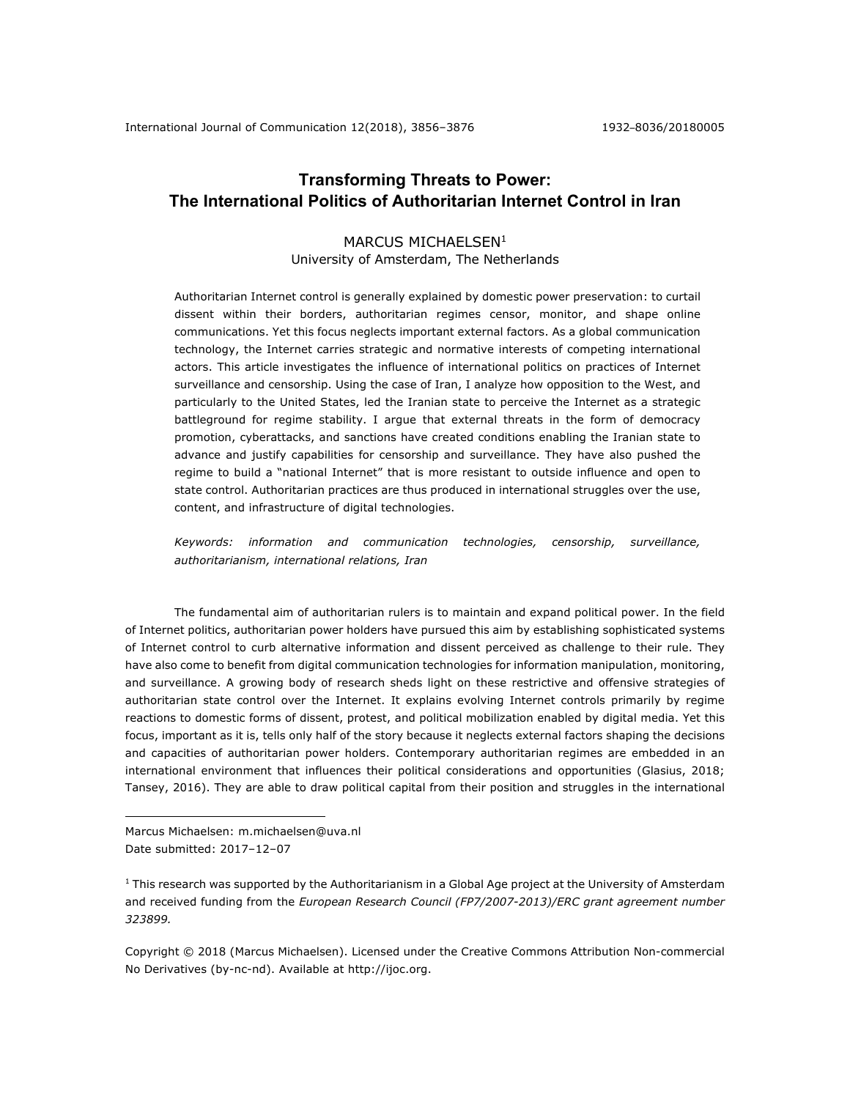# **Transforming Threats to Power: The International Politics of Authoritarian Internet Control in Iran**

# MARCUS MICHAELSEN<sup>1</sup>

# University of Amsterdam, The Netherlands

Authoritarian Internet control is generally explained by domestic power preservation: to curtail dissent within their borders, authoritarian regimes censor, monitor, and shape online communications. Yet this focus neglects important external factors. As a global communication technology, the Internet carries strategic and normative interests of competing international actors. This article investigates the influence of international politics on practices of Internet surveillance and censorship. Using the case of Iran, I analyze how opposition to the West, and particularly to the United States, led the Iranian state to perceive the Internet as a strategic battleground for regime stability. I argue that external threats in the form of democracy promotion, cyberattacks, and sanctions have created conditions enabling the Iranian state to advance and justify capabilities for censorship and surveillance. They have also pushed the regime to build a "national Internet" that is more resistant to outside influence and open to state control. Authoritarian practices are thus produced in international struggles over the use, content, and infrastructure of digital technologies.

*Keywords: information and communication technologies, censorship, surveillance, authoritarianism, international relations, Iran*

The fundamental aim of authoritarian rulers is to maintain and expand political power. In the field of Internet politics, authoritarian power holders have pursued this aim by establishing sophisticated systems of Internet control to curb alternative information and dissent perceived as challenge to their rule. They have also come to benefit from digital communication technologies for information manipulation, monitoring, and surveillance. A growing body of research sheds light on these restrictive and offensive strategies of authoritarian state control over the Internet. It explains evolving Internet controls primarily by regime reactions to domestic forms of dissent, protest, and political mobilization enabled by digital media. Yet this focus, important as it is, tells only half of the story because it neglects external factors shaping the decisions and capacities of authoritarian power holders. Contemporary authoritarian regimes are embedded in an international environment that influences their political considerations and opportunities (Glasius, 2018; Tansey, 2016). They are able to draw political capital from their position and struggles in the international

<u>.</u>

Copyright © 2018 (Marcus Michaelsen). Licensed under the Creative Commons Attribution Non-commercial No Derivatives (by-nc-nd). Available at http://ijoc.org.

Marcus Michaelsen: m.michaelsen@uva.nl Date submitted: 2017–12–07

 $1$  This research was supported by the Authoritarianism in a Global Age project at the University of Amsterdam and received funding from the *European Research Council (FP7/2007-2013)/ERC grant agreement number 323899.*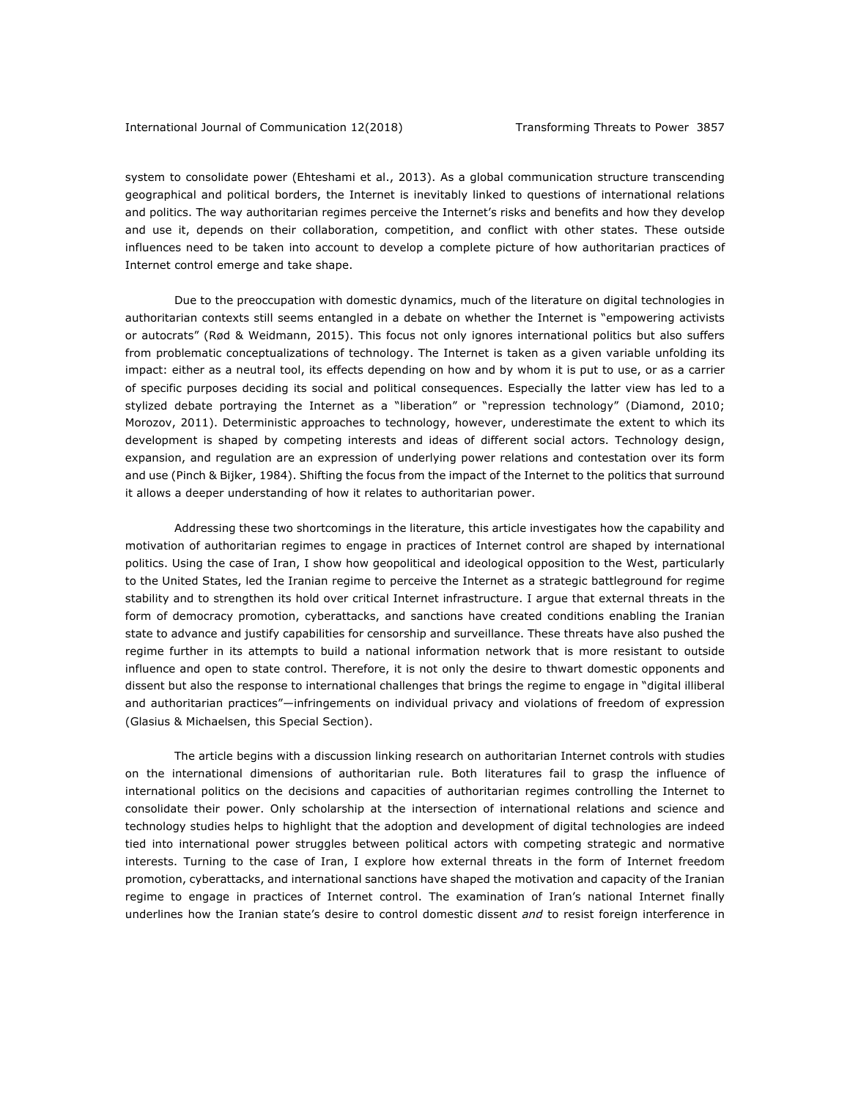system to consolidate power (Ehteshami et al., 2013). As a global communication structure transcending geographical and political borders, the Internet is inevitably linked to questions of international relations and politics. The way authoritarian regimes perceive the Internet's risks and benefits and how they develop and use it, depends on their collaboration, competition, and conflict with other states. These outside influences need to be taken into account to develop a complete picture of how authoritarian practices of Internet control emerge and take shape.

Due to the preoccupation with domestic dynamics, much of the literature on digital technologies in authoritarian contexts still seems entangled in a debate on whether the Internet is "empowering activists or autocrats" (Rød & Weidmann, 2015). This focus not only ignores international politics but also suffers from problematic conceptualizations of technology. The Internet is taken as a given variable unfolding its impact: either as a neutral tool, its effects depending on how and by whom it is put to use, or as a carrier of specific purposes deciding its social and political consequences. Especially the latter view has led to a stylized debate portraying the Internet as a "liberation" or "repression technology" (Diamond, 2010; Morozov, 2011). Deterministic approaches to technology, however, underestimate the extent to which its development is shaped by competing interests and ideas of different social actors. Technology design, expansion, and regulation are an expression of underlying power relations and contestation over its form and use (Pinch & Bijker, 1984). Shifting the focus from the impact of the Internet to the politics that surround it allows a deeper understanding of how it relates to authoritarian power.

Addressing these two shortcomings in the literature, this article investigates how the capability and motivation of authoritarian regimes to engage in practices of Internet control are shaped by international politics. Using the case of Iran, I show how geopolitical and ideological opposition to the West, particularly to the United States, led the Iranian regime to perceive the Internet as a strategic battleground for regime stability and to strengthen its hold over critical Internet infrastructure. I argue that external threats in the form of democracy promotion, cyberattacks, and sanctions have created conditions enabling the Iranian state to advance and justify capabilities for censorship and surveillance. These threats have also pushed the regime further in its attempts to build a national information network that is more resistant to outside influence and open to state control. Therefore, it is not only the desire to thwart domestic opponents and dissent but also the response to international challenges that brings the regime to engage in "digital illiberal and authoritarian practices"—infringements on individual privacy and violations of freedom of expression (Glasius & Michaelsen, this Special Section).

The article begins with a discussion linking research on authoritarian Internet controls with studies on the international dimensions of authoritarian rule. Both literatures fail to grasp the influence of international politics on the decisions and capacities of authoritarian regimes controlling the Internet to consolidate their power. Only scholarship at the intersection of international relations and science and technology studies helps to highlight that the adoption and development of digital technologies are indeed tied into international power struggles between political actors with competing strategic and normative interests. Turning to the case of Iran, I explore how external threats in the form of Internet freedom promotion, cyberattacks, and international sanctions have shaped the motivation and capacity of the Iranian regime to engage in practices of Internet control. The examination of Iran's national Internet finally underlines how the Iranian state's desire to control domestic dissent *and* to resist foreign interference in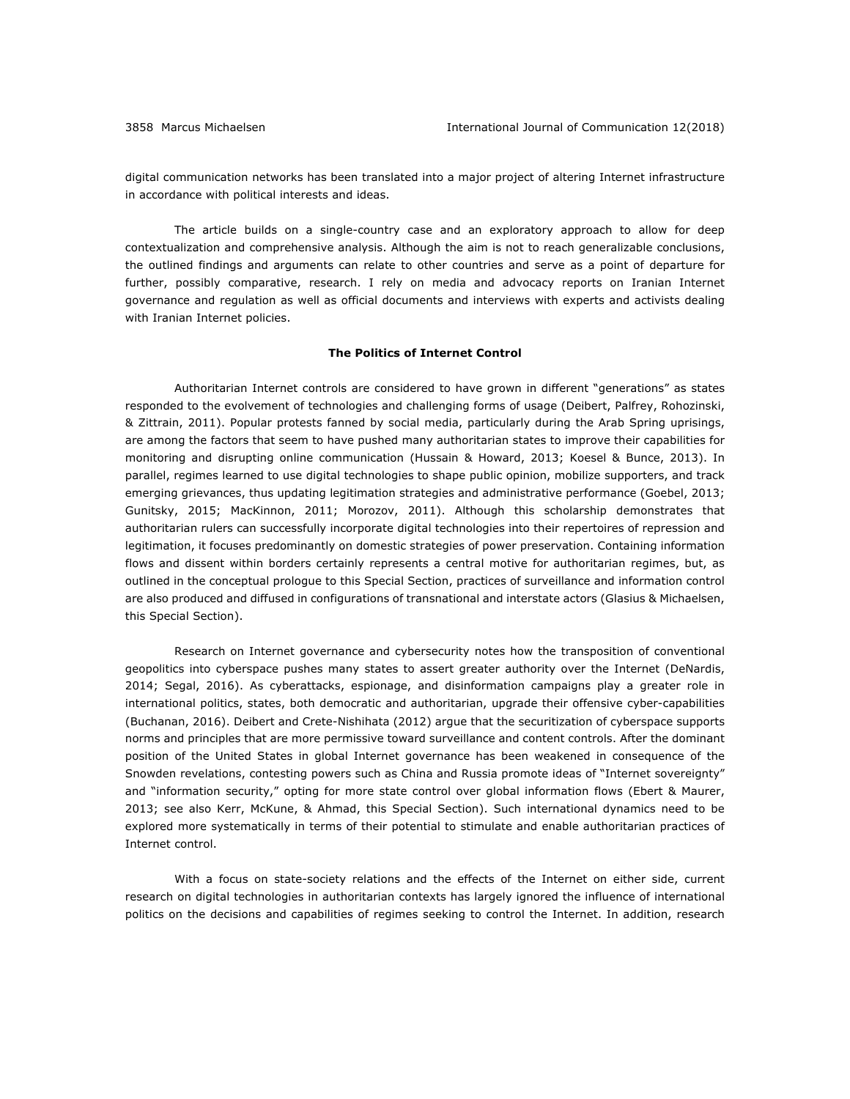digital communication networks has been translated into a major project of altering Internet infrastructure in accordance with political interests and ideas.

The article builds on a single-country case and an exploratory approach to allow for deep contextualization and comprehensive analysis. Although the aim is not to reach generalizable conclusions, the outlined findings and arguments can relate to other countries and serve as a point of departure for further, possibly comparative, research. I rely on media and advocacy reports on Iranian Internet governance and regulation as well as official documents and interviews with experts and activists dealing with Iranian Internet policies.

## **The Politics of Internet Control**

Authoritarian Internet controls are considered to have grown in different "generations" as states responded to the evolvement of technologies and challenging forms of usage (Deibert, Palfrey, Rohozinski, & Zittrain, 2011). Popular protests fanned by social media, particularly during the Arab Spring uprisings, are among the factors that seem to have pushed many authoritarian states to improve their capabilities for monitoring and disrupting online communication (Hussain & Howard, 2013; Koesel & Bunce, 2013). In parallel, regimes learned to use digital technologies to shape public opinion, mobilize supporters, and track emerging grievances, thus updating legitimation strategies and administrative performance (Goebel, 2013; Gunitsky, 2015; MacKinnon, 2011; Morozov, 2011). Although this scholarship demonstrates that authoritarian rulers can successfully incorporate digital technologies into their repertoires of repression and legitimation, it focuses predominantly on domestic strategies of power preservation. Containing information flows and dissent within borders certainly represents a central motive for authoritarian regimes, but, as outlined in the conceptual prologue to this Special Section, practices of surveillance and information control are also produced and diffused in configurations of transnational and interstate actors (Glasius & Michaelsen, this Special Section).

Research on Internet governance and cybersecurity notes how the transposition of conventional geopolitics into cyberspace pushes many states to assert greater authority over the Internet (DeNardis, 2014; Segal, 2016). As cyberattacks, espionage, and disinformation campaigns play a greater role in international politics, states, both democratic and authoritarian, upgrade their offensive cyber-capabilities (Buchanan, 2016). Deibert and Crete-Nishihata (2012) argue that the securitization of cyberspace supports norms and principles that are more permissive toward surveillance and content controls. After the dominant position of the United States in global Internet governance has been weakened in consequence of the Snowden revelations, contesting powers such as China and Russia promote ideas of "Internet sovereignty" and "information security," opting for more state control over global information flows (Ebert & Maurer, 2013; see also Kerr, McKune, & Ahmad, this Special Section). Such international dynamics need to be explored more systematically in terms of their potential to stimulate and enable authoritarian practices of Internet control.

With a focus on state-society relations and the effects of the Internet on either side, current research on digital technologies in authoritarian contexts has largely ignored the influence of international politics on the decisions and capabilities of regimes seeking to control the Internet. In addition, research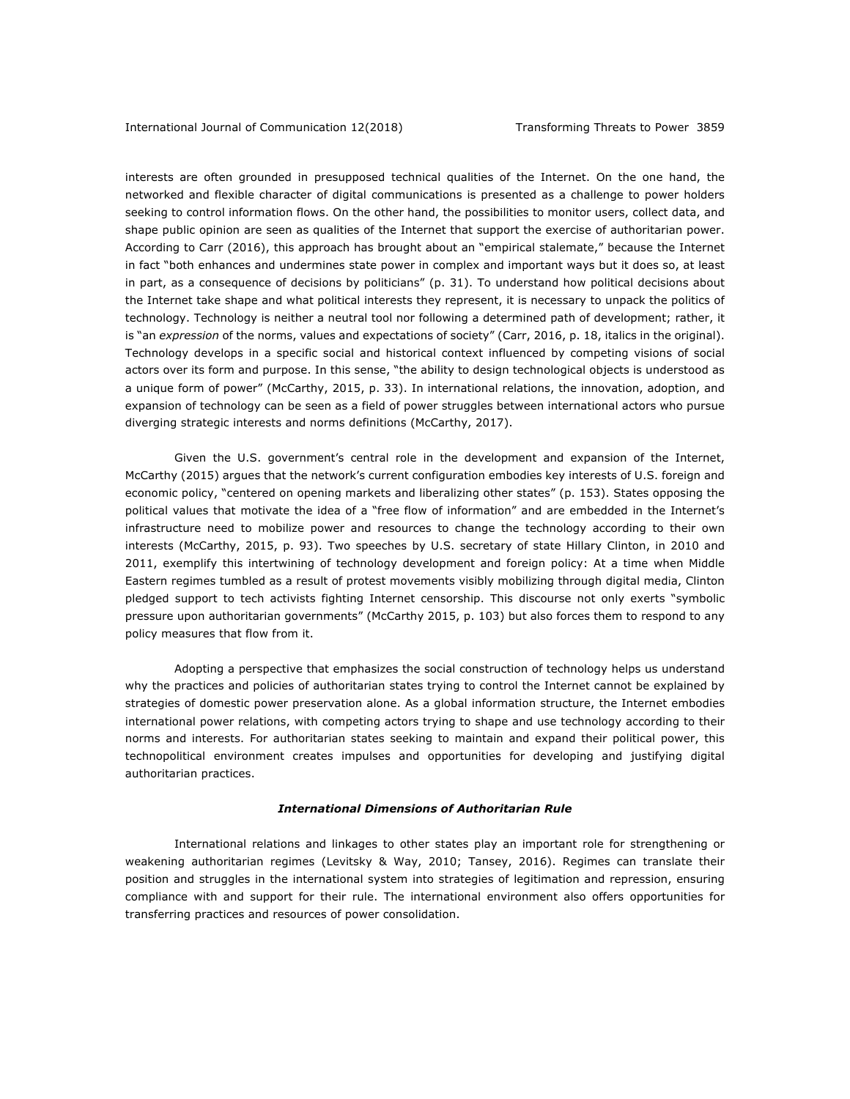interests are often grounded in presupposed technical qualities of the Internet. On the one hand, the networked and flexible character of digital communications is presented as a challenge to power holders seeking to control information flows. On the other hand, the possibilities to monitor users, collect data, and shape public opinion are seen as qualities of the Internet that support the exercise of authoritarian power. According to Carr (2016), this approach has brought about an "empirical stalemate," because the Internet in fact "both enhances and undermines state power in complex and important ways but it does so, at least in part, as a consequence of decisions by politicians" (p. 31). To understand how political decisions about the Internet take shape and what political interests they represent, it is necessary to unpack the politics of technology. Technology is neither a neutral tool nor following a determined path of development; rather, it is "an *expression* of the norms, values and expectations of society" (Carr, 2016, p. 18, italics in the original). Technology develops in a specific social and historical context influenced by competing visions of social actors over its form and purpose. In this sense, "the ability to design technological objects is understood as a unique form of power" (McCarthy, 2015, p. 33). In international relations, the innovation, adoption, and expansion of technology can be seen as a field of power struggles between international actors who pursue diverging strategic interests and norms definitions (McCarthy, 2017).

Given the U.S. government's central role in the development and expansion of the Internet, McCarthy (2015) argues that the network's current configuration embodies key interests of U.S. foreign and economic policy, "centered on opening markets and liberalizing other states" (p. 153). States opposing the political values that motivate the idea of a "free flow of information" and are embedded in the Internet's infrastructure need to mobilize power and resources to change the technology according to their own interests (McCarthy, 2015, p. 93). Two speeches by U.S. secretary of state Hillary Clinton, in 2010 and 2011, exemplify this intertwining of technology development and foreign policy: At a time when Middle Eastern regimes tumbled as a result of protest movements visibly mobilizing through digital media, Clinton pledged support to tech activists fighting Internet censorship. This discourse not only exerts "symbolic pressure upon authoritarian governments" (McCarthy 2015, p. 103) but also forces them to respond to any policy measures that flow from it.

Adopting a perspective that emphasizes the social construction of technology helps us understand why the practices and policies of authoritarian states trying to control the Internet cannot be explained by strategies of domestic power preservation alone. As a global information structure, the Internet embodies international power relations, with competing actors trying to shape and use technology according to their norms and interests. For authoritarian states seeking to maintain and expand their political power, this technopolitical environment creates impulses and opportunities for developing and justifying digital authoritarian practices.

#### *International Dimensions of Authoritarian Rule*

International relations and linkages to other states play an important role for strengthening or weakening authoritarian regimes (Levitsky & Way, 2010; Tansey, 2016). Regimes can translate their position and struggles in the international system into strategies of legitimation and repression, ensuring compliance with and support for their rule. The international environment also offers opportunities for transferring practices and resources of power consolidation.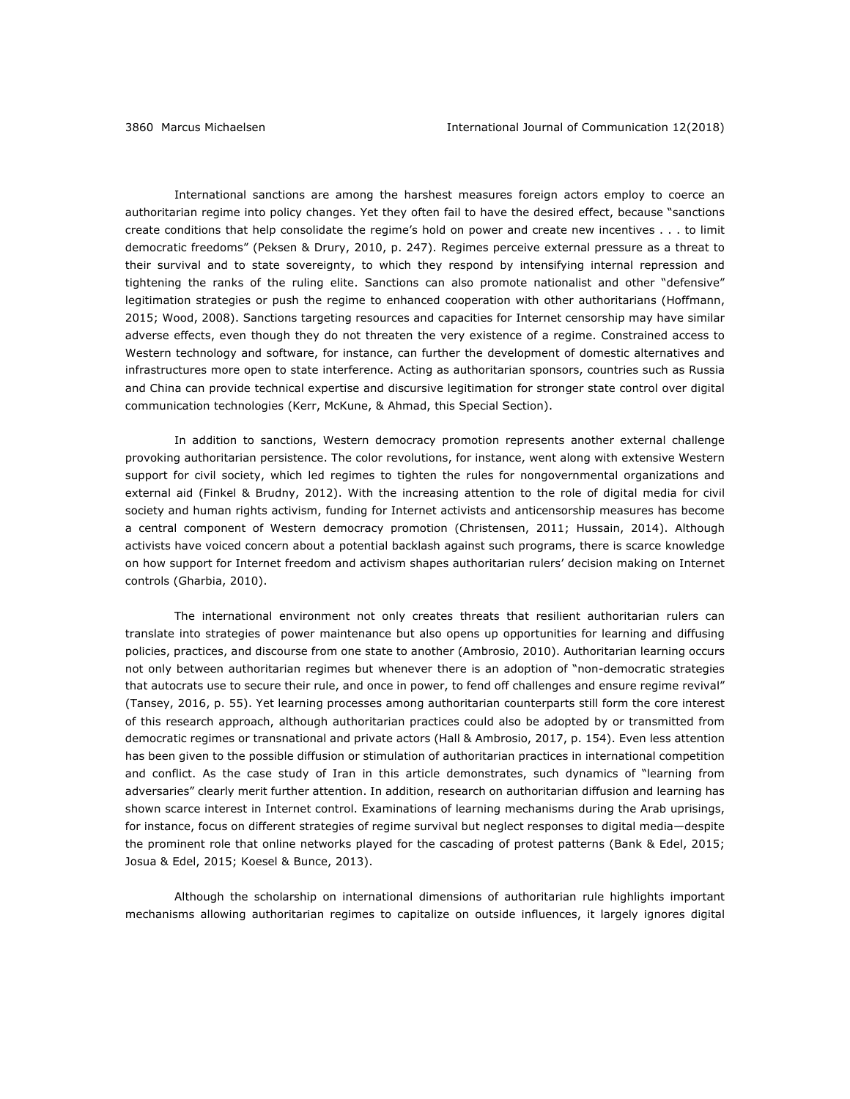International sanctions are among the harshest measures foreign actors employ to coerce an authoritarian regime into policy changes. Yet they often fail to have the desired effect, because "sanctions create conditions that help consolidate the regime's hold on power and create new incentives . . . to limit democratic freedoms" (Peksen & Drury, 2010, p. 247). Regimes perceive external pressure as a threat to their survival and to state sovereignty, to which they respond by intensifying internal repression and tightening the ranks of the ruling elite. Sanctions can also promote nationalist and other "defensive" legitimation strategies or push the regime to enhanced cooperation with other authoritarians (Hoffmann, 2015; Wood, 2008). Sanctions targeting resources and capacities for Internet censorship may have similar adverse effects, even though they do not threaten the very existence of a regime. Constrained access to Western technology and software, for instance, can further the development of domestic alternatives and infrastructures more open to state interference. Acting as authoritarian sponsors, countries such as Russia and China can provide technical expertise and discursive legitimation for stronger state control over digital communication technologies (Kerr, McKune, & Ahmad, this Special Section).

In addition to sanctions, Western democracy promotion represents another external challenge provoking authoritarian persistence. The color revolutions, for instance, went along with extensive Western support for civil society, which led regimes to tighten the rules for nongovernmental organizations and external aid (Finkel & Brudny, 2012). With the increasing attention to the role of digital media for civil society and human rights activism, funding for Internet activists and anticensorship measures has become a central component of Western democracy promotion (Christensen, 2011; Hussain, 2014). Although activists have voiced concern about a potential backlash against such programs, there is scarce knowledge on how support for Internet freedom and activism shapes authoritarian rulers' decision making on Internet controls (Gharbia, 2010).

The international environment not only creates threats that resilient authoritarian rulers can translate into strategies of power maintenance but also opens up opportunities for learning and diffusing policies, practices, and discourse from one state to another (Ambrosio, 2010). Authoritarian learning occurs not only between authoritarian regimes but whenever there is an adoption of "non-democratic strategies that autocrats use to secure their rule, and once in power, to fend off challenges and ensure regime revival" (Tansey, 2016, p. 55). Yet learning processes among authoritarian counterparts still form the core interest of this research approach, although authoritarian practices could also be adopted by or transmitted from democratic regimes or transnational and private actors (Hall & Ambrosio, 2017, p. 154). Even less attention has been given to the possible diffusion or stimulation of authoritarian practices in international competition and conflict. As the case study of Iran in this article demonstrates, such dynamics of "learning from adversaries" clearly merit further attention. In addition, research on authoritarian diffusion and learning has shown scarce interest in Internet control. Examinations of learning mechanisms during the Arab uprisings, for instance, focus on different strategies of regime survival but neglect responses to digital media—despite the prominent role that online networks played for the cascading of protest patterns (Bank & Edel, 2015; Josua & Edel, 2015; Koesel & Bunce, 2013).

Although the scholarship on international dimensions of authoritarian rule highlights important mechanisms allowing authoritarian regimes to capitalize on outside influences, it largely ignores digital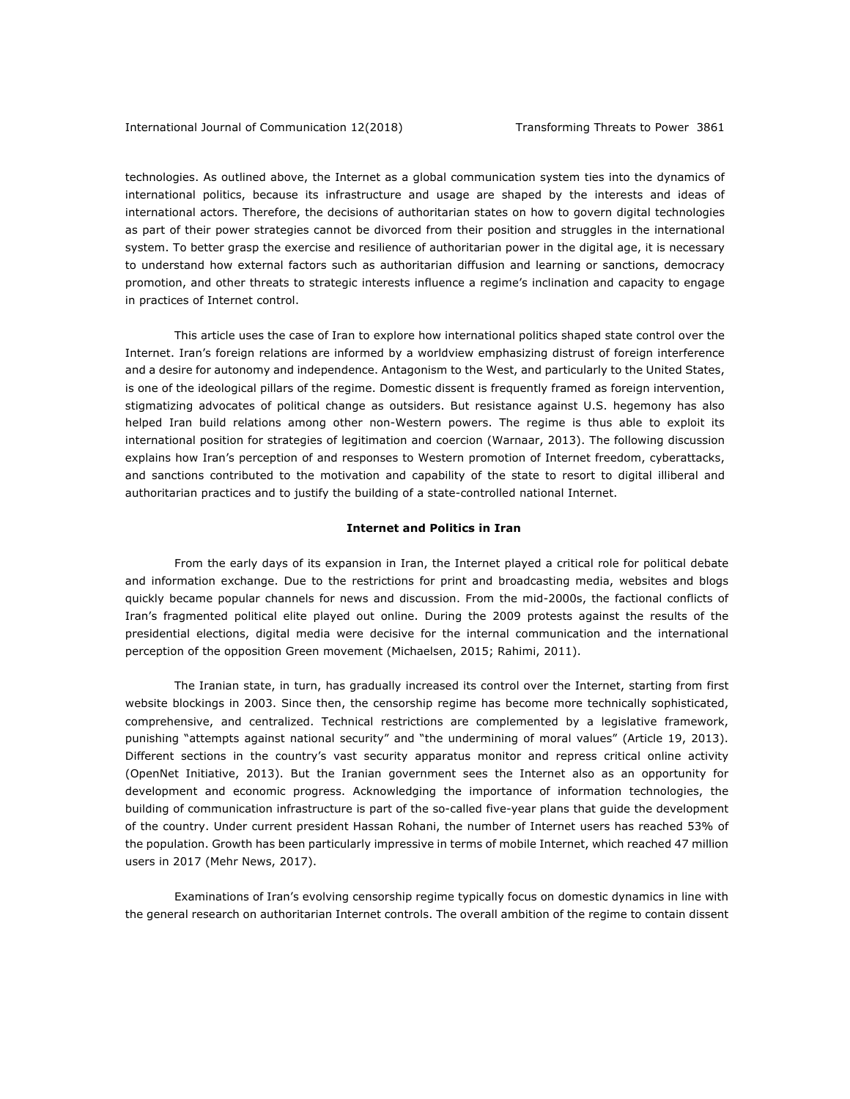technologies. As outlined above, the Internet as a global communication system ties into the dynamics of international politics, because its infrastructure and usage are shaped by the interests and ideas of international actors. Therefore, the decisions of authoritarian states on how to govern digital technologies as part of their power strategies cannot be divorced from their position and struggles in the international system. To better grasp the exercise and resilience of authoritarian power in the digital age, it is necessary to understand how external factors such as authoritarian diffusion and learning or sanctions, democracy promotion, and other threats to strategic interests influence a regime's inclination and capacity to engage in practices of Internet control.

This article uses the case of Iran to explore how international politics shaped state control over the Internet. Iran's foreign relations are informed by a worldview emphasizing distrust of foreign interference and a desire for autonomy and independence. Antagonism to the West, and particularly to the United States, is one of the ideological pillars of the regime. Domestic dissent is frequently framed as foreign intervention, stigmatizing advocates of political change as outsiders. But resistance against U.S. hegemony has also helped Iran build relations among other non-Western powers. The regime is thus able to exploit its international position for strategies of legitimation and coercion (Warnaar, 2013). The following discussion explains how Iran's perception of and responses to Western promotion of Internet freedom, cyberattacks, and sanctions contributed to the motivation and capability of the state to resort to digital illiberal and authoritarian practices and to justify the building of a state-controlled national Internet.

## **Internet and Politics in Iran**

From the early days of its expansion in Iran, the Internet played a critical role for political debate and information exchange. Due to the restrictions for print and broadcasting media, websites and blogs quickly became popular channels for news and discussion. From the mid-2000s, the factional conflicts of Iran's fragmented political elite played out online. During the 2009 protests against the results of the presidential elections, digital media were decisive for the internal communication and the international perception of the opposition Green movement (Michaelsen, 2015; Rahimi, 2011).

The Iranian state, in turn, has gradually increased its control over the Internet, starting from first website blockings in 2003. Since then, the censorship regime has become more technically sophisticated, comprehensive, and centralized. Technical restrictions are complemented by a legislative framework, punishing "attempts against national security" and "the undermining of moral values" (Article 19, 2013). Different sections in the country's vast security apparatus monitor and repress critical online activity (OpenNet Initiative, 2013). But the Iranian government sees the Internet also as an opportunity for development and economic progress. Acknowledging the importance of information technologies, the building of communication infrastructure is part of the so-called five-year plans that guide the development of the country. Under current president Hassan Rohani, the number of Internet users has reached 53% of the population. Growth has been particularly impressive in terms of mobile Internet, which reached 47 million users in 2017 (Mehr News, 2017).

Examinations of Iran's evolving censorship regime typically focus on domestic dynamics in line with the general research on authoritarian Internet controls. The overall ambition of the regime to contain dissent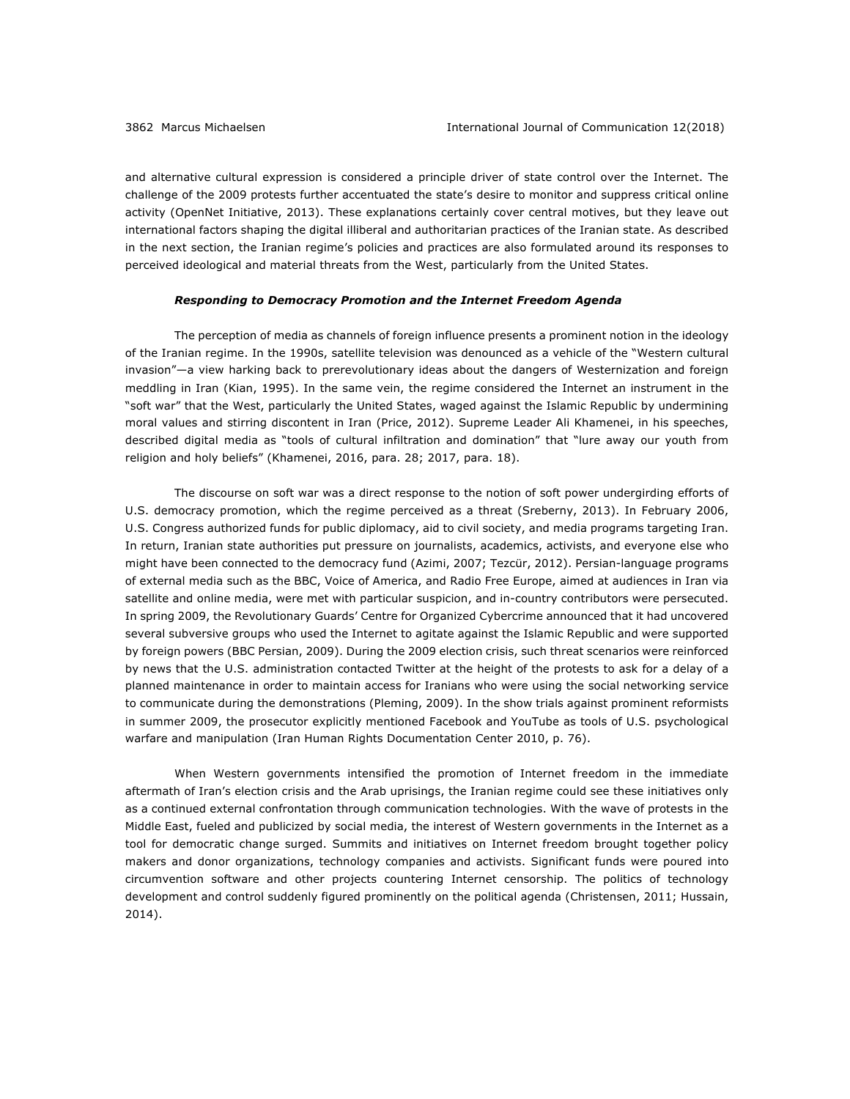and alternative cultural expression is considered a principle driver of state control over the Internet. The challenge of the 2009 protests further accentuated the state's desire to monitor and suppress critical online activity (OpenNet Initiative, 2013). These explanations certainly cover central motives, but they leave out international factors shaping the digital illiberal and authoritarian practices of the Iranian state. As described in the next section, the Iranian regime's policies and practices are also formulated around its responses to perceived ideological and material threats from the West, particularly from the United States.

## *Responding to Democracy Promotion and the Internet Freedom Agenda*

The perception of media as channels of foreign influence presents a prominent notion in the ideology of the Iranian regime. In the 1990s, satellite television was denounced as a vehicle of the "Western cultural invasion"—a view harking back to prerevolutionary ideas about the dangers of Westernization and foreign meddling in Iran (Kian, 1995). In the same vein, the regime considered the Internet an instrument in the "soft war" that the West, particularly the United States, waged against the Islamic Republic by undermining moral values and stirring discontent in Iran (Price, 2012). Supreme Leader Ali Khamenei, in his speeches, described digital media as "tools of cultural infiltration and domination" that "lure away our youth from religion and holy beliefs" (Khamenei, 2016, para. 28; 2017, para. 18).

The discourse on soft war was a direct response to the notion of soft power undergirding efforts of U.S. democracy promotion, which the regime perceived as a threat (Sreberny, 2013). In February 2006, U.S. Congress authorized funds for public diplomacy, aid to civil society, and media programs targeting Iran. In return, Iranian state authorities put pressure on journalists, academics, activists, and everyone else who might have been connected to the democracy fund (Azimi, 2007; Tezcür, 2012). Persian-language programs of external media such as the BBC, Voice of America, and Radio Free Europe, aimed at audiences in Iran via satellite and online media, were met with particular suspicion, and in-country contributors were persecuted. In spring 2009, the Revolutionary Guards' Centre for Organized Cybercrime announced that it had uncovered several subversive groups who used the Internet to agitate against the Islamic Republic and were supported by foreign powers (BBC Persian, 2009). During the 2009 election crisis, such threat scenarios were reinforced by news that the U.S. administration contacted Twitter at the height of the protests to ask for a delay of a planned maintenance in order to maintain access for Iranians who were using the social networking service to communicate during the demonstrations (Pleming, 2009). In the show trials against prominent reformists in summer 2009, the prosecutor explicitly mentioned Facebook and YouTube as tools of U.S. psychological warfare and manipulation (Iran Human Rights Documentation Center 2010, p. 76).

When Western governments intensified the promotion of Internet freedom in the immediate aftermath of Iran's election crisis and the Arab uprisings, the Iranian regime could see these initiatives only as a continued external confrontation through communication technologies. With the wave of protests in the Middle East, fueled and publicized by social media, the interest of Western governments in the Internet as a tool for democratic change surged. Summits and initiatives on Internet freedom brought together policy makers and donor organizations, technology companies and activists. Significant funds were poured into circumvention software and other projects countering Internet censorship. The politics of technology development and control suddenly figured prominently on the political agenda (Christensen, 2011; Hussain, 2014).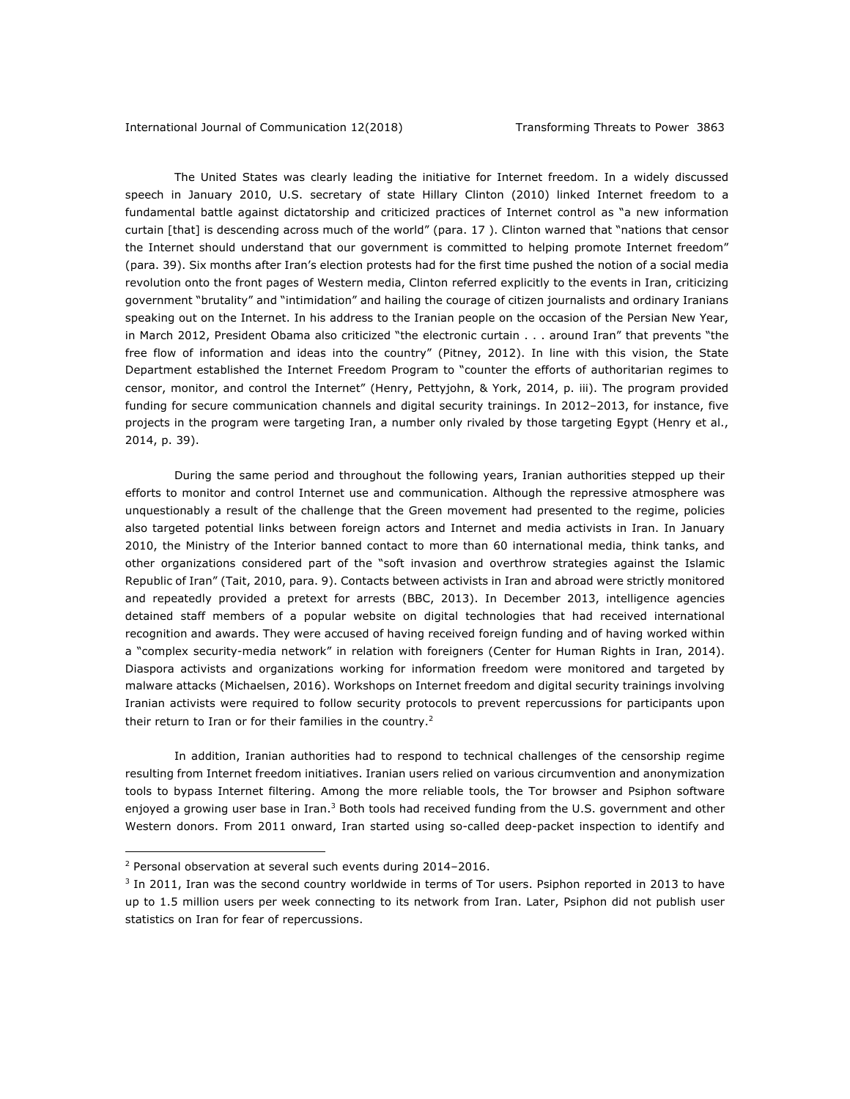The United States was clearly leading the initiative for Internet freedom. In a widely discussed speech in January 2010, U.S. secretary of state Hillary Clinton (2010) linked Internet freedom to a fundamental battle against dictatorship and criticized practices of Internet control as "a new information curtain [that] is descending across much of the world" (para. 17 ). Clinton warned that "nations that censor the Internet should understand that our government is committed to helping promote Internet freedom" (para. 39). Six months after Iran's election protests had for the first time pushed the notion of a social media revolution onto the front pages of Western media, Clinton referred explicitly to the events in Iran, criticizing government "brutality" and "intimidation" and hailing the courage of citizen journalists and ordinary Iranians speaking out on the Internet. In his address to the Iranian people on the occasion of the Persian New Year, in March 2012, President Obama also criticized "the electronic curtain . . . around Iran" that prevents "the free flow of information and ideas into the country" (Pitney, 2012). In line with this vision, the State Department established the Internet Freedom Program to "counter the efforts of authoritarian regimes to censor, monitor, and control the Internet" (Henry, Pettyjohn, & York, 2014, p. iii). The program provided funding for secure communication channels and digital security trainings. In 2012–2013, for instance, five projects in the program were targeting Iran, a number only rivaled by those targeting Egypt (Henry et al., 2014, p. 39).

During the same period and throughout the following years, Iranian authorities stepped up their efforts to monitor and control Internet use and communication. Although the repressive atmosphere was unquestionably a result of the challenge that the Green movement had presented to the regime, policies also targeted potential links between foreign actors and Internet and media activists in Iran. In January 2010, the Ministry of the Interior banned contact to more than 60 international media, think tanks, and other organizations considered part of the "soft invasion and overthrow strategies against the Islamic Republic of Iran" (Tait, 2010, para. 9). Contacts between activists in Iran and abroad were strictly monitored and repeatedly provided a pretext for arrests (BBC, 2013). In December 2013, intelligence agencies detained staff members of a popular website on digital technologies that had received international recognition and awards. They were accused of having received foreign funding and of having worked within a "complex security-media network" in relation with foreigners (Center for Human Rights in Iran, 2014). Diaspora activists and organizations working for information freedom were monitored and targeted by malware attacks (Michaelsen, 2016). Workshops on Internet freedom and digital security trainings involving Iranian activists were required to follow security protocols to prevent repercussions for participants upon their return to Iran or for their families in the country.<sup>2</sup>

In addition, Iranian authorities had to respond to technical challenges of the censorship regime resulting from Internet freedom initiatives. Iranian users relied on various circumvention and anonymization tools to bypass Internet filtering. Among the more reliable tools, the Tor browser and Psiphon software enjoyed a growing user base in Iran.<sup>3</sup> Both tools had received funding from the U.S. government and other Western donors. From 2011 onward, Iran started using so-called deep-packet inspection to identify and

1

<sup>2</sup> Personal observation at several such events during 2014–2016.

<sup>&</sup>lt;sup>3</sup> In 2011, Iran was the second country worldwide in terms of Tor users. Psiphon reported in 2013 to have up to 1.5 million users per week connecting to its network from Iran. Later, Psiphon did not publish user statistics on Iran for fear of repercussions.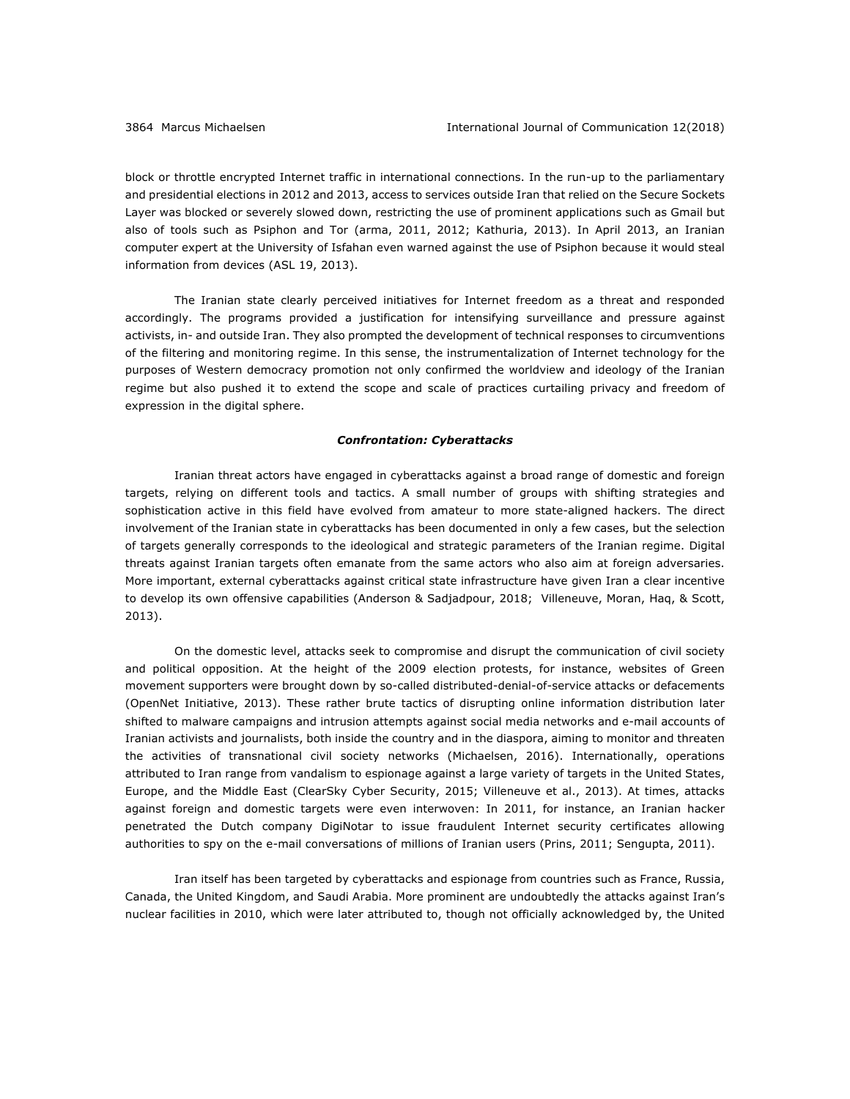block or throttle encrypted Internet traffic in international connections. In the run-up to the parliamentary and presidential elections in 2012 and 2013, access to services outside Iran that relied on the Secure Sockets Layer was blocked or severely slowed down, restricting the use of prominent applications such as Gmail but also of tools such as Psiphon and Tor (arma, 2011, 2012; Kathuria, 2013). In April 2013, an Iranian computer expert at the University of Isfahan even warned against the use of Psiphon because it would steal information from devices (ASL 19, 2013).

The Iranian state clearly perceived initiatives for Internet freedom as a threat and responded accordingly. The programs provided a justification for intensifying surveillance and pressure against activists, in- and outside Iran. They also prompted the development of technical responses to circumventions of the filtering and monitoring regime. In this sense, the instrumentalization of Internet technology for the purposes of Western democracy promotion not only confirmed the worldview and ideology of the Iranian regime but also pushed it to extend the scope and scale of practices curtailing privacy and freedom of expression in the digital sphere.

## *Confrontation: Cyberattacks*

Iranian threat actors have engaged in cyberattacks against a broad range of domestic and foreign targets, relying on different tools and tactics. A small number of groups with shifting strategies and sophistication active in this field have evolved from amateur to more state-aligned hackers. The direct involvement of the Iranian state in cyberattacks has been documented in only a few cases, but the selection of targets generally corresponds to the ideological and strategic parameters of the Iranian regime. Digital threats against Iranian targets often emanate from the same actors who also aim at foreign adversaries. More important, external cyberattacks against critical state infrastructure have given Iran a clear incentive to develop its own offensive capabilities (Anderson & Sadjadpour, 2018; Villeneuve, Moran, Haq, & Scott, 2013).

On the domestic level, attacks seek to compromise and disrupt the communication of civil society and political opposition. At the height of the 2009 election protests, for instance, websites of Green movement supporters were brought down by so-called distributed-denial-of-service attacks or defacements (OpenNet Initiative, 2013). These rather brute tactics of disrupting online information distribution later shifted to malware campaigns and intrusion attempts against social media networks and e-mail accounts of Iranian activists and journalists, both inside the country and in the diaspora, aiming to monitor and threaten the activities of transnational civil society networks (Michaelsen, 2016). Internationally, operations attributed to Iran range from vandalism to espionage against a large variety of targets in the United States, Europe, and the Middle East (ClearSky Cyber Security, 2015; Villeneuve et al., 2013). At times, attacks against foreign and domestic targets were even interwoven: In 2011, for instance, an Iranian hacker penetrated the Dutch company DigiNotar to issue fraudulent Internet security certificates allowing authorities to spy on the e-mail conversations of millions of Iranian users (Prins, 2011; Sengupta, 2011).

Iran itself has been targeted by cyberattacks and espionage from countries such as France, Russia, Canada, the United Kingdom, and Saudi Arabia. More prominent are undoubtedly the attacks against Iran's nuclear facilities in 2010, which were later attributed to, though not officially acknowledged by, the United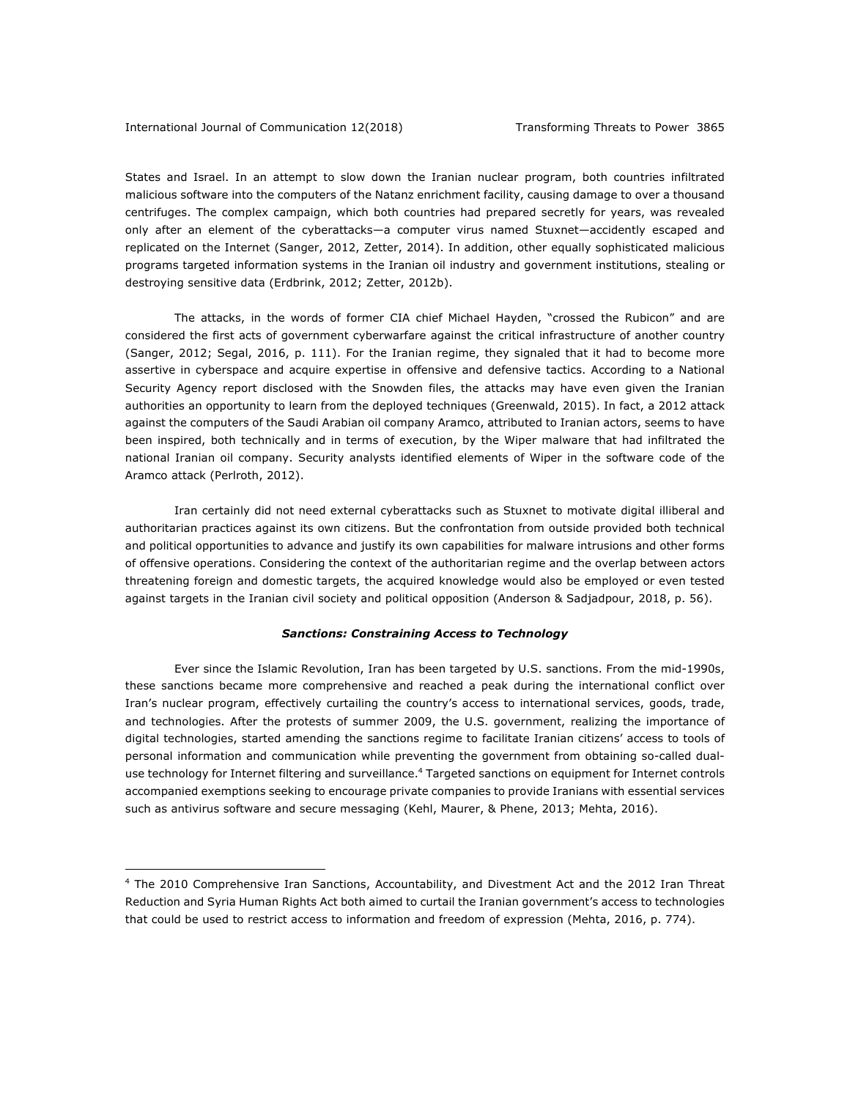<u>.</u>

States and Israel. In an attempt to slow down the Iranian nuclear program, both countries infiltrated malicious software into the computers of the Natanz enrichment facility, causing damage to over a thousand centrifuges. The complex campaign, which both countries had prepared secretly for years, was revealed only after an element of the cyberattacks—a computer virus named Stuxnet—accidently escaped and replicated on the Internet (Sanger, 2012, Zetter, 2014). In addition, other equally sophisticated malicious programs targeted information systems in the Iranian oil industry and government institutions, stealing or destroying sensitive data (Erdbrink, 2012; Zetter, 2012b).

The attacks, in the words of former CIA chief Michael Hayden, "crossed the Rubicon" and are considered the first acts of government cyberwarfare against the critical infrastructure of another country (Sanger, 2012; Segal, 2016, p. 111). For the Iranian regime, they signaled that it had to become more assertive in cyberspace and acquire expertise in offensive and defensive tactics. According to a National Security Agency report disclosed with the Snowden files, the attacks may have even given the Iranian authorities an opportunity to learn from the deployed techniques (Greenwald, 2015). In fact, a 2012 attack against the computers of the Saudi Arabian oil company Aramco, attributed to Iranian actors, seems to have been inspired, both technically and in terms of execution, by the Wiper malware that had infiltrated the national Iranian oil company. Security analysts identified elements of Wiper in the software code of the Aramco attack (Perlroth, 2012).

Iran certainly did not need external cyberattacks such as Stuxnet to motivate digital illiberal and authoritarian practices against its own citizens. But the confrontation from outside provided both technical and political opportunities to advance and justify its own capabilities for malware intrusions and other forms of offensive operations. Considering the context of the authoritarian regime and the overlap between actors threatening foreign and domestic targets, the acquired knowledge would also be employed or even tested against targets in the Iranian civil society and political opposition (Anderson & Sadjadpour, 2018, p. 56).

## *Sanctions: Constraining Access to Technology*

Ever since the Islamic Revolution, Iran has been targeted by U.S. sanctions. From the mid-1990s, these sanctions became more comprehensive and reached a peak during the international conflict over Iran's nuclear program, effectively curtailing the country's access to international services, goods, trade, and technologies. After the protests of summer 2009, the U.S. government, realizing the importance of digital technologies, started amending the sanctions regime to facilitate Iranian citizens' access to tools of personal information and communication while preventing the government from obtaining so-called dualuse technology for Internet filtering and surveillance.<sup>4</sup> Targeted sanctions on equipment for Internet controls accompanied exemptions seeking to encourage private companies to provide Iranians with essential services such as antivirus software and secure messaging (Kehl, Maurer, & Phene, 2013; Mehta, 2016).

<sup>4</sup> The 2010 Comprehensive Iran Sanctions, Accountability, and Divestment Act and the 2012 Iran Threat Reduction and Syria Human Rights Act both aimed to curtail the Iranian government's access to technologies that could be used to restrict access to information and freedom of expression (Mehta, 2016, p. 774).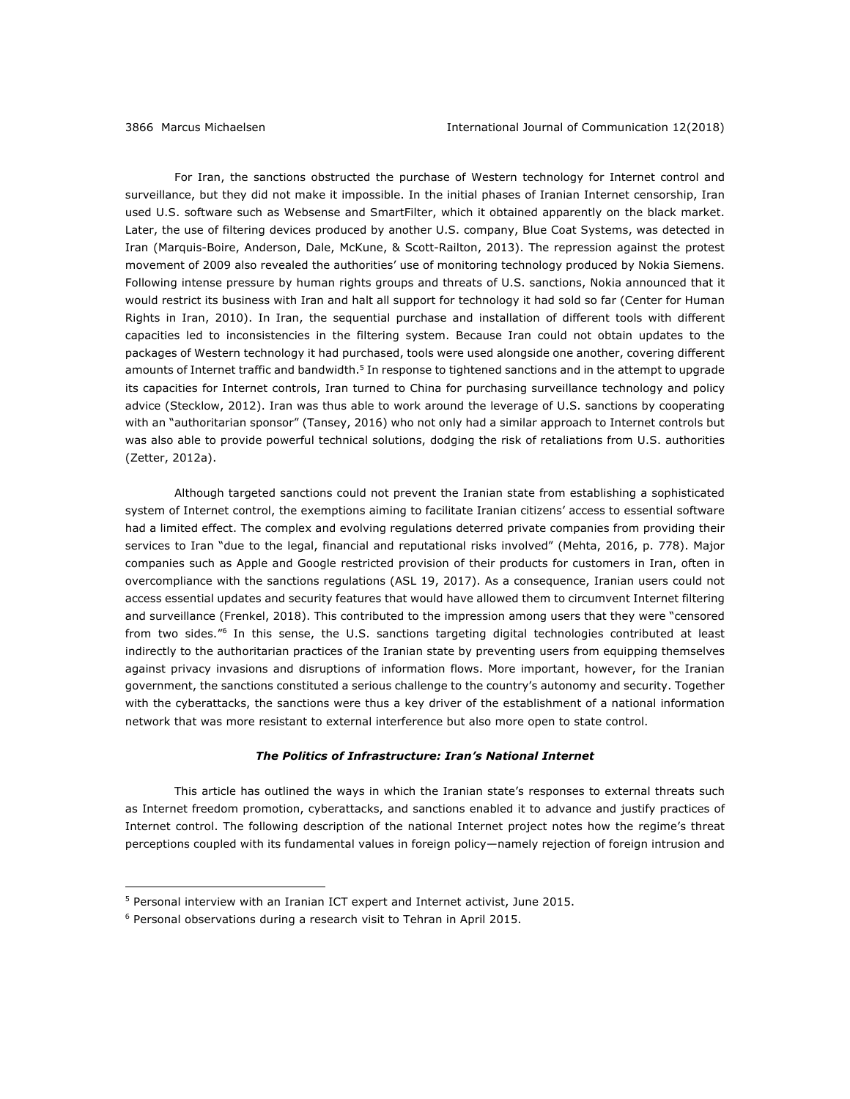For Iran, the sanctions obstructed the purchase of Western technology for Internet control and surveillance, but they did not make it impossible. In the initial phases of Iranian Internet censorship, Iran used U.S. software such as Websense and SmartFilter, which it obtained apparently on the black market. Later, the use of filtering devices produced by another U.S. company, Blue Coat Systems, was detected in Iran (Marquis-Boire, Anderson, Dale, McKune, & Scott-Railton, 2013). The repression against the protest movement of 2009 also revealed the authorities' use of monitoring technology produced by Nokia Siemens. Following intense pressure by human rights groups and threats of U.S. sanctions, Nokia announced that it would restrict its business with Iran and halt all support for technology it had sold so far (Center for Human Rights in Iran, 2010). In Iran, the sequential purchase and installation of different tools with different capacities led to inconsistencies in the filtering system. Because Iran could not obtain updates to the packages of Western technology it had purchased, tools were used alongside one another, covering different amounts of Internet traffic and bandwidth.<sup>5</sup> In response to tightened sanctions and in the attempt to upgrade its capacities for Internet controls, Iran turned to China for purchasing surveillance technology and policy advice (Stecklow, 2012). Iran was thus able to work around the leverage of U.S. sanctions by cooperating with an "authoritarian sponsor" (Tansey, 2016) who not only had a similar approach to Internet controls but was also able to provide powerful technical solutions, dodging the risk of retaliations from U.S. authorities (Zetter, 2012a).

Although targeted sanctions could not prevent the Iranian state from establishing a sophisticated system of Internet control, the exemptions aiming to facilitate Iranian citizens' access to essential software had a limited effect. The complex and evolving regulations deterred private companies from providing their services to Iran "due to the legal, financial and reputational risks involved" (Mehta, 2016, p. 778). Major companies such as Apple and Google restricted provision of their products for customers in Iran, often in overcompliance with the sanctions regulations (ASL 19, 2017). As a consequence, Iranian users could not access essential updates and security features that would have allowed them to circumvent Internet filtering and surveillance (Frenkel, 2018). This contributed to the impression among users that they were "censored from two sides."6 In this sense, the U.S. sanctions targeting digital technologies contributed at least indirectly to the authoritarian practices of the Iranian state by preventing users from equipping themselves against privacy invasions and disruptions of information flows. More important, however, for the Iranian government, the sanctions constituted a serious challenge to the country's autonomy and security. Together with the cyberattacks, the sanctions were thus a key driver of the establishment of a national information network that was more resistant to external interference but also more open to state control.

#### *The Politics of Infrastructure: Iran's National Internet*

This article has outlined the ways in which the Iranian state's responses to external threats such as Internet freedom promotion, cyberattacks, and sanctions enabled it to advance and justify practices of Internet control. The following description of the national Internet project notes how the regime's threat perceptions coupled with its fundamental values in foreign policy—namely rejection of foreign intrusion and

1

<sup>5</sup> Personal interview with an Iranian ICT expert and Internet activist, June 2015.

<sup>6</sup> Personal observations during a research visit to Tehran in April 2015.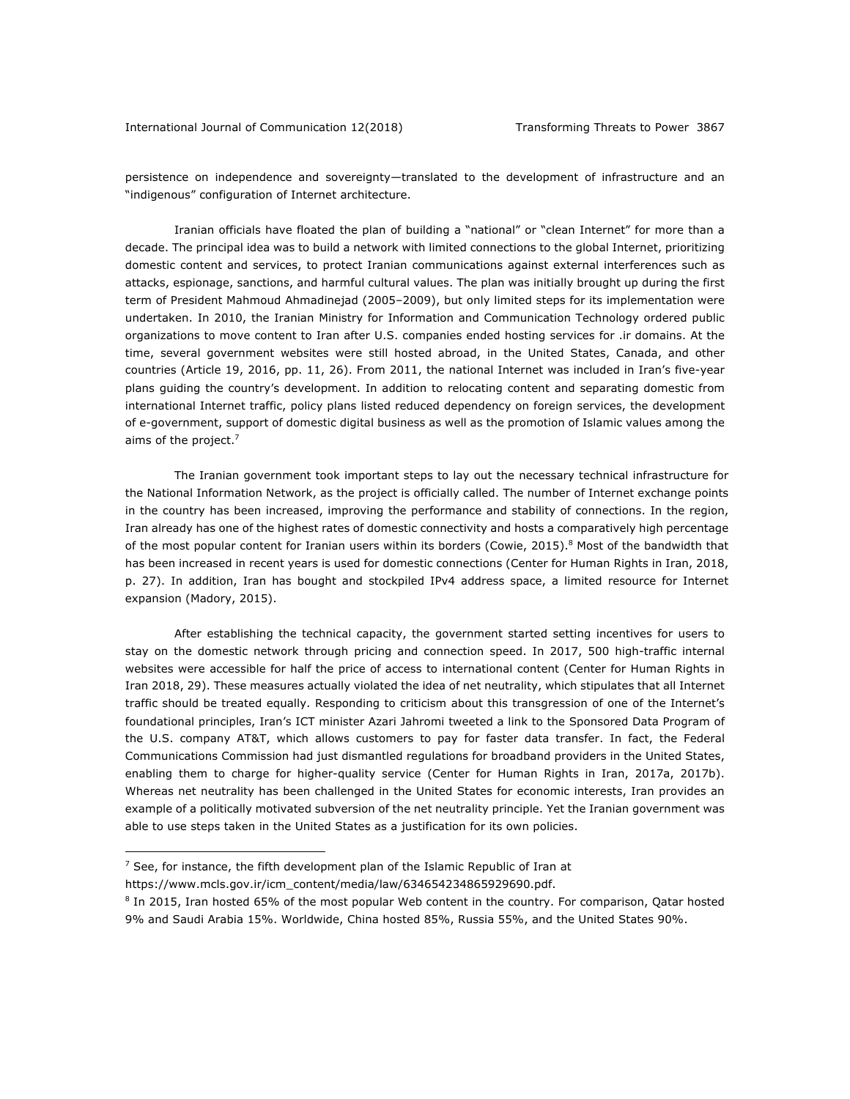persistence on independence and sovereignty—translated to the development of infrastructure and an "indigenous" configuration of Internet architecture.

Iranian officials have floated the plan of building a "national" or "clean Internet" for more than a decade. The principal idea was to build a network with limited connections to the global Internet, prioritizing domestic content and services, to protect Iranian communications against external interferences such as attacks, espionage, sanctions, and harmful cultural values. The plan was initially brought up during the first term of President Mahmoud Ahmadinejad (2005–2009), but only limited steps for its implementation were undertaken. In 2010, the Iranian Ministry for Information and Communication Technology ordered public organizations to move content to Iran after U.S. companies ended hosting services for .ir domains. At the time, several government websites were still hosted abroad, in the United States, Canada, and other countries (Article 19, 2016, pp. 11, 26). From 2011, the national Internet was included in Iran's five-year plans guiding the country's development. In addition to relocating content and separating domestic from international Internet traffic, policy plans listed reduced dependency on foreign services, the development of e-government, support of domestic digital business as well as the promotion of Islamic values among the aims of the project.<sup>7</sup>

The Iranian government took important steps to lay out the necessary technical infrastructure for the National Information Network, as the project is officially called. The number of Internet exchange points in the country has been increased, improving the performance and stability of connections. In the region, Iran already has one of the highest rates of domestic connectivity and hosts a comparatively high percentage of the most popular content for Iranian users within its borders (Cowie, 2015).<sup>8</sup> Most of the bandwidth that has been increased in recent years is used for domestic connections (Center for Human Rights in Iran, 2018, p. 27). In addition, Iran has bought and stockpiled IPv4 address space, a limited resource for Internet expansion (Madory, 2015).

After establishing the technical capacity, the government started setting incentives for users to stay on the domestic network through pricing and connection speed. In 2017, 500 high-traffic internal websites were accessible for half the price of access to international content (Center for Human Rights in Iran 2018, 29). These measures actually violated the idea of net neutrality, which stipulates that all Internet traffic should be treated equally. Responding to criticism about this transgression of one of the Internet's foundational principles, Iran's ICT minister Azari Jahromi tweeted a link to the Sponsored Data Program of the U.S. company AT&T, which allows customers to pay for faster data transfer. In fact, the Federal Communications Commission had just dismantled regulations for broadband providers in the United States, enabling them to charge for higher-quality service (Center for Human Rights in Iran, 2017a, 2017b). Whereas net neutrality has been challenged in the United States for economic interests, Iran provides an example of a politically motivated subversion of the net neutrality principle. Yet the Iranian government was able to use steps taken in the United States as a justification for its own policies.

https://www.mcls.gov.ir/icm\_content/media/law/634654234865929690.pdf.

1

 $7$  See, for instance, the fifth development plan of the Islamic Republic of Iran at

<sup>8</sup> In 2015, Iran hosted 65% of the most popular Web content in the country. For comparison, Qatar hosted 9% and Saudi Arabia 15%. Worldwide, China hosted 85%, Russia 55%, and the United States 90%.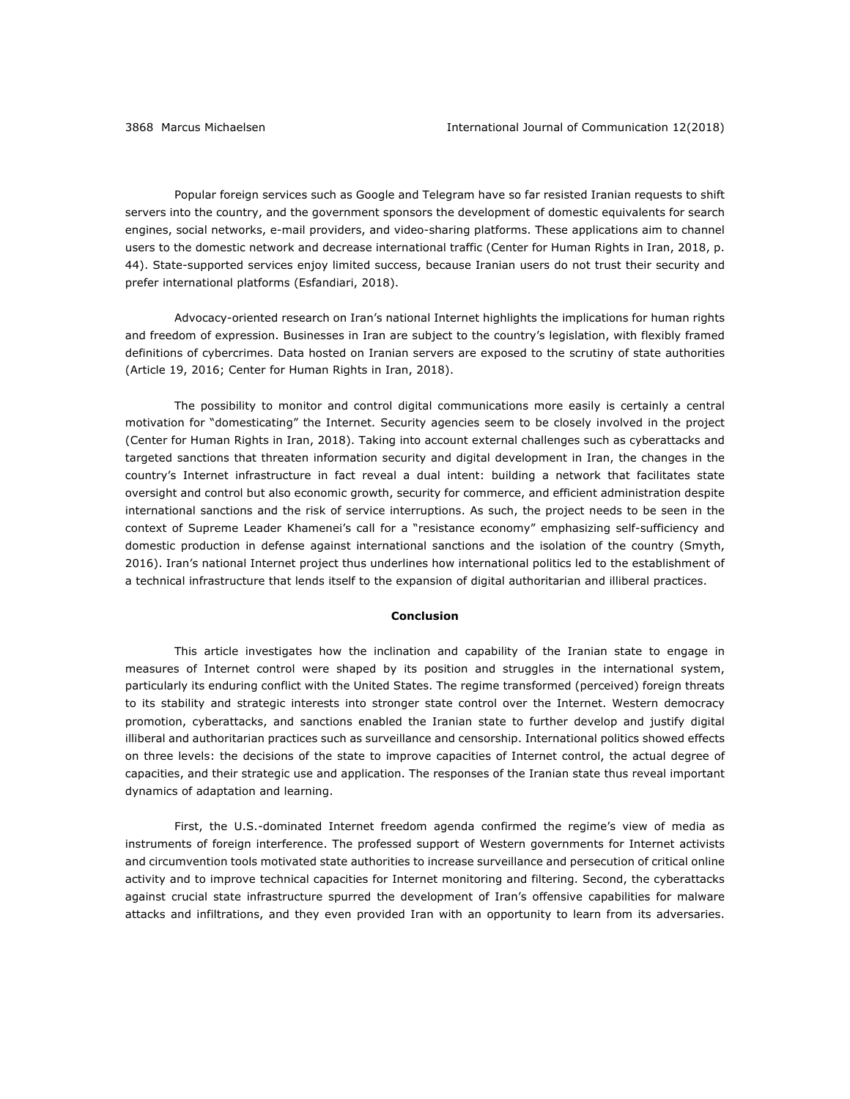Popular foreign services such as Google and Telegram have so far resisted Iranian requests to shift servers into the country, and the government sponsors the development of domestic equivalents for search engines, social networks, e-mail providers, and video-sharing platforms. These applications aim to channel users to the domestic network and decrease international traffic (Center for Human Rights in Iran, 2018, p. 44). State-supported services enjoy limited success, because Iranian users do not trust their security and prefer international platforms (Esfandiari, 2018).

Advocacy-oriented research on Iran's national Internet highlights the implications for human rights and freedom of expression. Businesses in Iran are subject to the country's legislation, with flexibly framed definitions of cybercrimes. Data hosted on Iranian servers are exposed to the scrutiny of state authorities (Article 19, 2016; Center for Human Rights in Iran, 2018).

The possibility to monitor and control digital communications more easily is certainly a central motivation for "domesticating" the Internet. Security agencies seem to be closely involved in the project (Center for Human Rights in Iran, 2018). Taking into account external challenges such as cyberattacks and targeted sanctions that threaten information security and digital development in Iran, the changes in the country's Internet infrastructure in fact reveal a dual intent: building a network that facilitates state oversight and control but also economic growth, security for commerce, and efficient administration despite international sanctions and the risk of service interruptions. As such, the project needs to be seen in the context of Supreme Leader Khamenei's call for a "resistance economy" emphasizing self-sufficiency and domestic production in defense against international sanctions and the isolation of the country (Smyth, 2016). Iran's national Internet project thus underlines how international politics led to the establishment of a technical infrastructure that lends itself to the expansion of digital authoritarian and illiberal practices.

## **Conclusion**

This article investigates how the inclination and capability of the Iranian state to engage in measures of Internet control were shaped by its position and struggles in the international system, particularly its enduring conflict with the United States. The regime transformed (perceived) foreign threats to its stability and strategic interests into stronger state control over the Internet. Western democracy promotion, cyberattacks, and sanctions enabled the Iranian state to further develop and justify digital illiberal and authoritarian practices such as surveillance and censorship. International politics showed effects on three levels: the decisions of the state to improve capacities of Internet control, the actual degree of capacities, and their strategic use and application. The responses of the Iranian state thus reveal important dynamics of adaptation and learning.

First, the U.S.-dominated Internet freedom agenda confirmed the regime's view of media as instruments of foreign interference. The professed support of Western governments for Internet activists and circumvention tools motivated state authorities to increase surveillance and persecution of critical online activity and to improve technical capacities for Internet monitoring and filtering. Second, the cyberattacks against crucial state infrastructure spurred the development of Iran's offensive capabilities for malware attacks and infiltrations, and they even provided Iran with an opportunity to learn from its adversaries.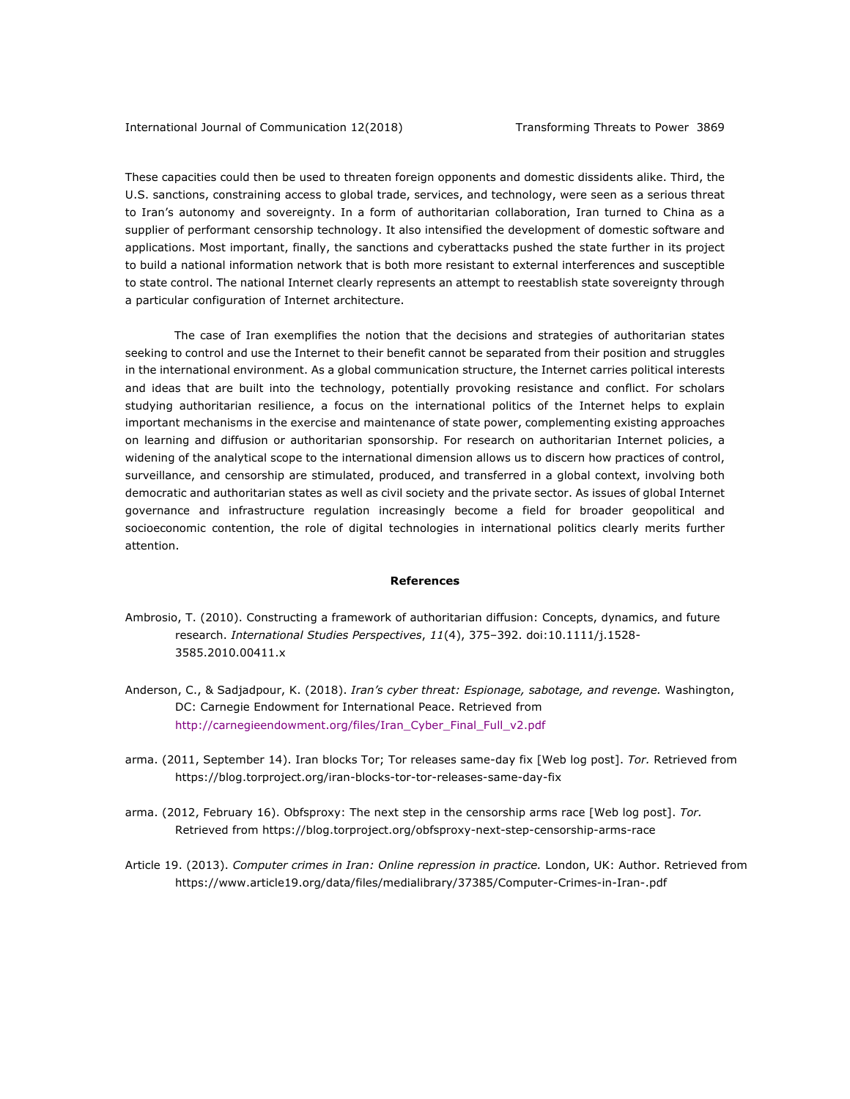These capacities could then be used to threaten foreign opponents and domestic dissidents alike. Third, the U.S. sanctions, constraining access to global trade, services, and technology, were seen as a serious threat to Iran's autonomy and sovereignty. In a form of authoritarian collaboration, Iran turned to China as a supplier of performant censorship technology. It also intensified the development of domestic software and applications. Most important, finally, the sanctions and cyberattacks pushed the state further in its project to build a national information network that is both more resistant to external interferences and susceptible to state control. The national Internet clearly represents an attempt to reestablish state sovereignty through a particular configuration of Internet architecture.

The case of Iran exemplifies the notion that the decisions and strategies of authoritarian states seeking to control and use the Internet to their benefit cannot be separated from their position and struggles in the international environment. As a global communication structure, the Internet carries political interests and ideas that are built into the technology, potentially provoking resistance and conflict. For scholars studying authoritarian resilience, a focus on the international politics of the Internet helps to explain important mechanisms in the exercise and maintenance of state power, complementing existing approaches on learning and diffusion or authoritarian sponsorship. For research on authoritarian Internet policies, a widening of the analytical scope to the international dimension allows us to discern how practices of control, surveillance, and censorship are stimulated, produced, and transferred in a global context, involving both democratic and authoritarian states as well as civil society and the private sector. As issues of global Internet governance and infrastructure regulation increasingly become a field for broader geopolitical and socioeconomic contention, the role of digital technologies in international politics clearly merits further attention.

#### **References**

- Ambrosio, T. (2010). Constructing a framework of authoritarian diffusion: Concepts, dynamics, and future research. *International Studies Perspectives*, *11*(4), 375–392. doi:10.1111/j.1528- 3585.2010.00411.x
- Anderson, C., & Sadjadpour, K. (2018). *Iran's cyber threat: Espionage, sabotage, and revenge.* Washington, DC: Carnegie Endowment for International Peace. Retrieved from http://carnegieendowment.org/files/Iran\_Cyber\_Final\_Full\_v2.pdf
- arma. (2011, September 14). Iran blocks Tor; Tor releases same-day fix [Web log post]. *Tor.* Retrieved from https://blog.torproject.org/iran-blocks-tor-tor-releases-same-day-fix
- arma. (2012, February 16). Obfsproxy: The next step in the censorship arms race [Web log post]. *Tor.* Retrieved from https://blog.torproject.org/obfsproxy-next-step-censorship-arms-race
- Article 19. (2013). *Computer crimes in Iran: Online repression in practice.* London, UK: Author. Retrieved from https://www.article19.org/data/files/medialibrary/37385/Computer-Crimes-in-Iran-.pdf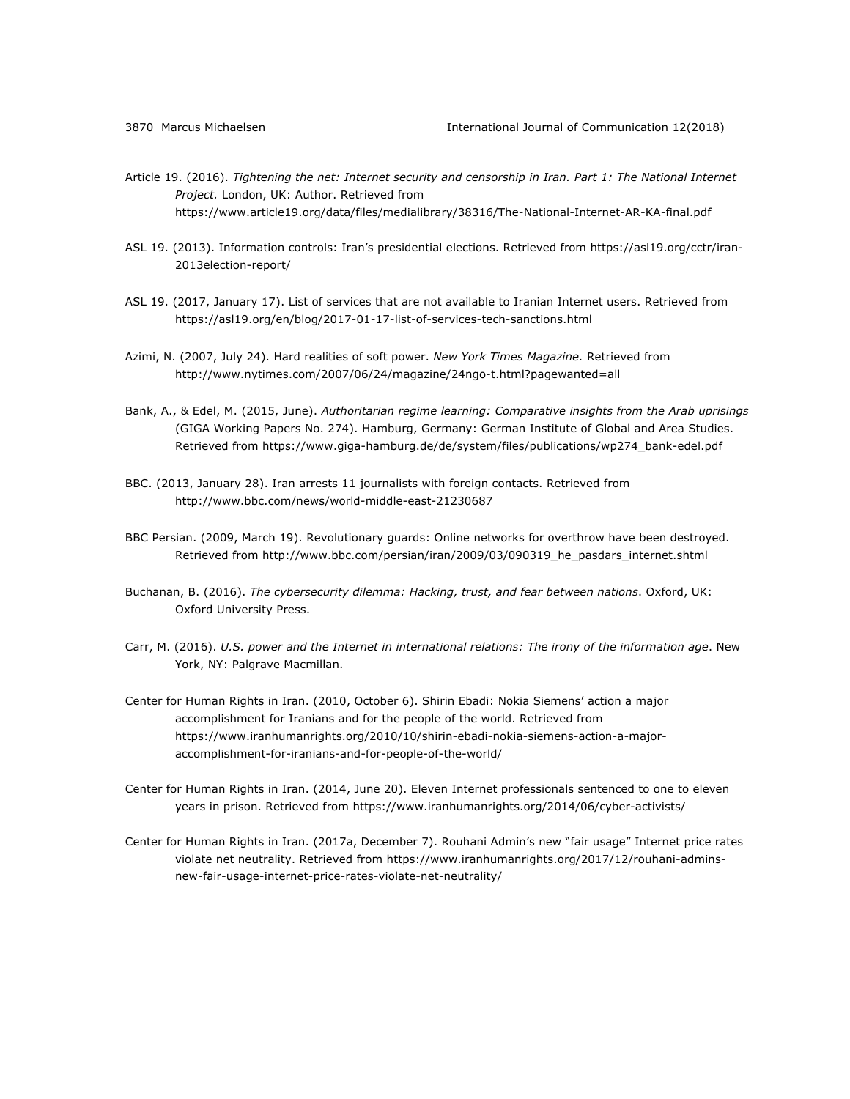- Article 19. (2016). *Tightening the net: Internet security and censorship in Iran. Part 1: The National Internet Project.* London, UK: Author. Retrieved from https://www.article19.org/data/files/medialibrary/38316/The-National-Internet-AR-KA-final.pdf
- ASL 19. (2013). Information controls: Iran's presidential elections. Retrieved from https://asl19.org/cctr/iran-2013election-report/
- ASL 19. (2017, January 17). List of services that are not available to Iranian Internet users. Retrieved from https://asl19.org/en/blog/2017-01-17-list-of-services-tech-sanctions.html
- Azimi, N. (2007, July 24). Hard realities of soft power. *New York Times Magazine.* Retrieved from http://www.nytimes.com/2007/06/24/magazine/24ngo-t.html?pagewanted=all
- Bank, A., & Edel, M. (2015, June). *Authoritarian regime learning: Comparative insights from the Arab uprisings* (GIGA Working Papers No. 274). Hamburg, Germany: German Institute of Global and Area Studies. Retrieved from https://www.giga-hamburg.de/de/system/files/publications/wp274\_bank-edel.pdf
- BBC. (2013, January 28). Iran arrests 11 journalists with foreign contacts. Retrieved from http://www.bbc.com/news/world-middle-east-21230687
- BBC Persian. (2009, March 19). Revolutionary guards: Online networks for overthrow have been destroyed. Retrieved from http://www.bbc.com/persian/iran/2009/03/090319\_he\_pasdars\_internet.shtml
- Buchanan, B. (2016). *The cybersecurity dilemma: Hacking, trust, and fear between nations*. Oxford, UK: Oxford University Press.
- Carr, M. (2016). *U.S. power and the Internet in international relations: The irony of the information age*. New York, NY: Palgrave Macmillan.
- Center for Human Rights in Iran. (2010, October 6). Shirin Ebadi: Nokia Siemens' action a major accomplishment for Iranians and for the people of the world. Retrieved from https://www.iranhumanrights.org/2010/10/shirin-ebadi-nokia-siemens-action-a-majoraccomplishment-for-iranians-and-for-people-of-the-world/
- Center for Human Rights in Iran. (2014, June 20). Eleven Internet professionals sentenced to one to eleven years in prison. Retrieved from https://www.iranhumanrights.org/2014/06/cyber-activists/
- Center for Human Rights in Iran. (2017a, December 7). Rouhani Admin's new "fair usage" Internet price rates violate net neutrality. Retrieved from https://www.iranhumanrights.org/2017/12/rouhani-adminsnew-fair-usage-internet-price-rates-violate-net-neutrality/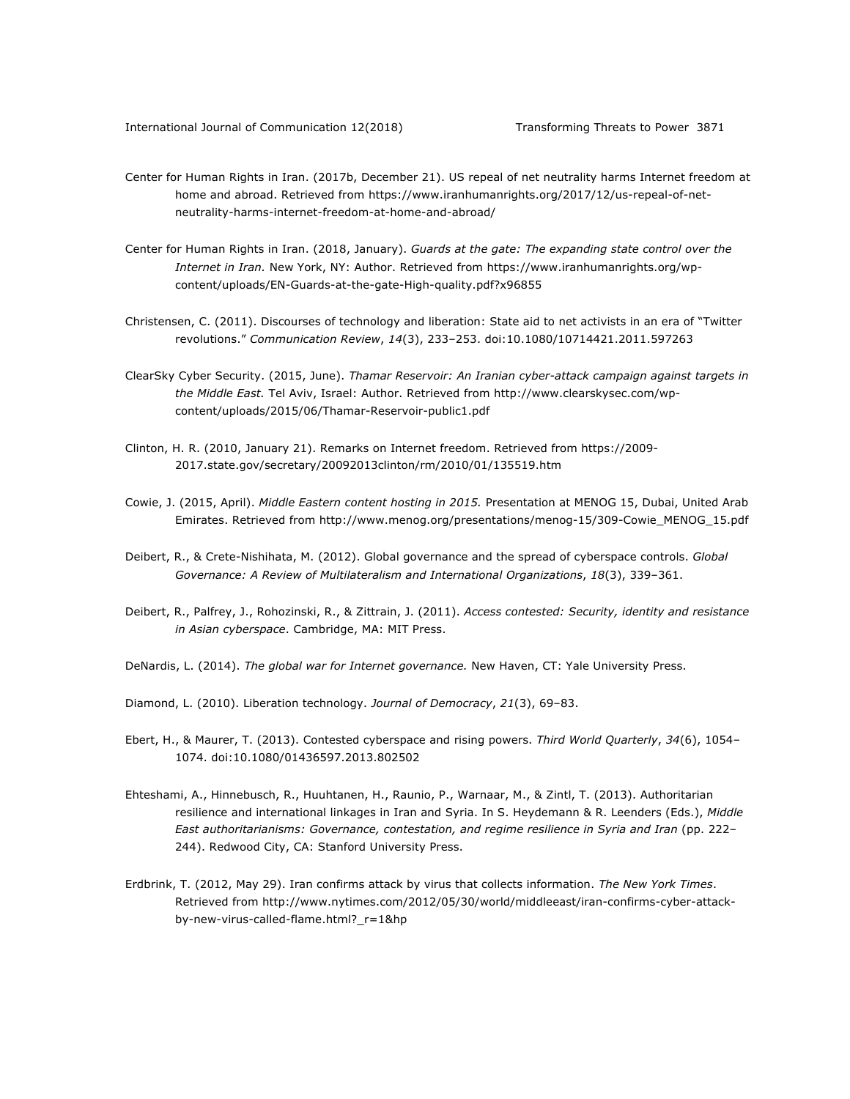- Center for Human Rights in Iran. (2017b, December 21). US repeal of net neutrality harms Internet freedom at home and abroad. Retrieved from https://www.iranhumanrights.org/2017/12/us-repeal-of-netneutrality-harms-internet-freedom-at-home-and-abroad/
- Center for Human Rights in Iran. (2018, January). *Guards at the gate: The expanding state control over the Internet in Iran.* New York, NY: Author. Retrieved from https://www.iranhumanrights.org/wpcontent/uploads/EN-Guards-at-the-gate-High-quality.pdf?x96855
- Christensen, C. (2011). Discourses of technology and liberation: State aid to net activists in an era of "Twitter revolutions." *Communication Review*, *14*(3), 233–253. doi:10.1080/10714421.2011.597263
- ClearSky Cyber Security. (2015, June). *Thamar Reservoir: An Iranian cyber-attack campaign against targets in the Middle East.* Tel Aviv, Israel: Author. Retrieved from http://www.clearskysec.com/wpcontent/uploads/2015/06/Thamar-Reservoir-public1.pdf
- Clinton, H. R. (2010, January 21). Remarks on Internet freedom. Retrieved from https://2009- 2017.state.gov/secretary/20092013clinton/rm/2010/01/135519.htm
- Cowie, J. (2015, April). *Middle Eastern content hosting in 2015.* Presentation at MENOG 15, Dubai, United Arab Emirates. Retrieved from http://www.menog.org/presentations/menog-15/309-Cowie\_MENOG\_15.pdf
- Deibert, R., & Crete-Nishihata, M. (2012). Global governance and the spread of cyberspace controls. *Global Governance: A Review of Multilateralism and International Organizations*, *18*(3), 339–361.
- Deibert, R., Palfrey, J., Rohozinski, R., & Zittrain, J. (2011). *Access contested: Security, identity and resistance in Asian cyberspace*. Cambridge, MA: MIT Press.
- DeNardis, L. (2014). *The global war for Internet governance.* New Haven, CT: Yale University Press.
- Diamond, L. (2010). Liberation technology. *Journal of Democracy*, *21*(3), 69–83.
- Ebert, H., & Maurer, T. (2013). Contested cyberspace and rising powers. *Third World Quarterly*, *34*(6), 1054– 1074. doi:10.1080/01436597.2013.802502
- Ehteshami, A., Hinnebusch, R., Huuhtanen, H., Raunio, P., Warnaar, M., & Zintl, T. (2013). Authoritarian resilience and international linkages in Iran and Syria. In S. Heydemann & R. Leenders (Eds.), *Middle East authoritarianisms: Governance, contestation, and regime resilience in Syria and Iran* (pp. 222– 244). Redwood City, CA: Stanford University Press.
- Erdbrink, T. (2012, May 29). Iran confirms attack by virus that collects information. *The New York Times*. Retrieved from http://www.nytimes.com/2012/05/30/world/middleeast/iran-confirms-cyber-attackby-new-virus-called-flame.html?\_r=1&hp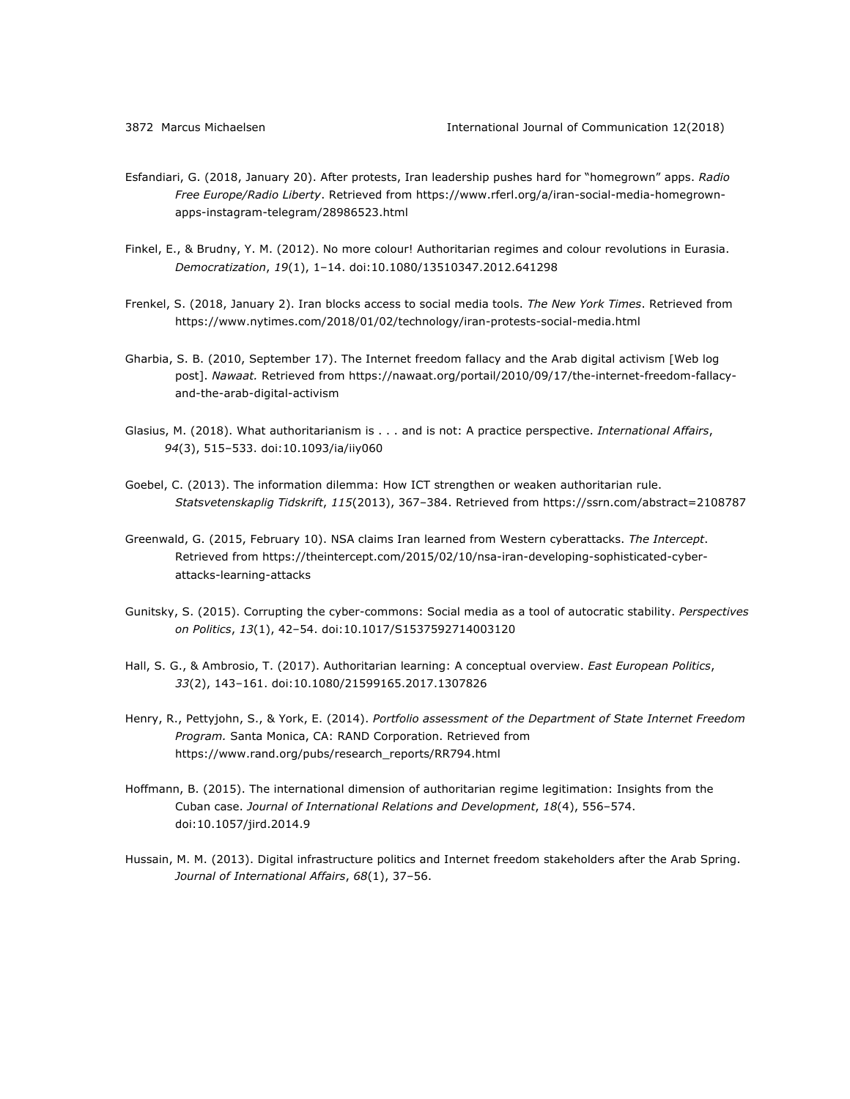- Esfandiari, G. (2018, January 20). After protests, Iran leadership pushes hard for "homegrown" apps. *Radio Free Europe/Radio Liberty*. Retrieved from https://www.rferl.org/a/iran-social-media-homegrownapps-instagram-telegram/28986523.html
- Finkel, E., & Brudny, Y. M. (2012). No more colour! Authoritarian regimes and colour revolutions in Eurasia. *Democratization*, *19*(1), 1–14. doi:10.1080/13510347.2012.641298
- Frenkel, S. (2018, January 2). Iran blocks access to social media tools. *The New York Times*. Retrieved from https://www.nytimes.com/2018/01/02/technology/iran-protests-social-media.html
- Gharbia, S. B. (2010, September 17). The Internet freedom fallacy and the Arab digital activism [Web log post]. *Nawaat.* Retrieved from https://nawaat.org/portail/2010/09/17/the-internet-freedom-fallacyand-the-arab-digital-activism
- Glasius, M. (2018). What authoritarianism is . . . and is not: A practice perspective. *International Affairs*, *94*(3), 515–533. doi:10.1093/ia/iiy060
- Goebel, C. (2013). The information dilemma: How ICT strengthen or weaken authoritarian rule. *Statsvetenskaplig Tidskrift*, *115*(2013), 367–384. Retrieved from https://ssrn.com/abstract=2108787
- Greenwald, G. (2015, February 10). NSA claims Iran learned from Western cyberattacks. *The Intercept*. Retrieved from https://theintercept.com/2015/02/10/nsa-iran-developing-sophisticated-cyberattacks-learning-attacks
- Gunitsky, S. (2015). Corrupting the cyber-commons: Social media as a tool of autocratic stability. *Perspectives on Politics*, *13*(1), 42–54. doi:10.1017/S1537592714003120
- Hall, S. G., & Ambrosio, T. (2017). Authoritarian learning: A conceptual overview. *East European Politics*, *33*(2), 143–161. doi:10.1080/21599165.2017.1307826
- Henry, R., Pettyjohn, S., & York, E. (2014). *Portfolio assessment of the Department of State Internet Freedom Program.* Santa Monica, CA: RAND Corporation. Retrieved from https://www.rand.org/pubs/research\_reports/RR794.html
- Hoffmann, B. (2015). The international dimension of authoritarian regime legitimation: Insights from the Cuban case. *Journal of International Relations and Development*, *18*(4), 556–574. doi:10.1057/jird.2014.9
- Hussain, M. M. (2013). Digital infrastructure politics and Internet freedom stakeholders after the Arab Spring. *Journal of International Affairs*, *68*(1), 37–56.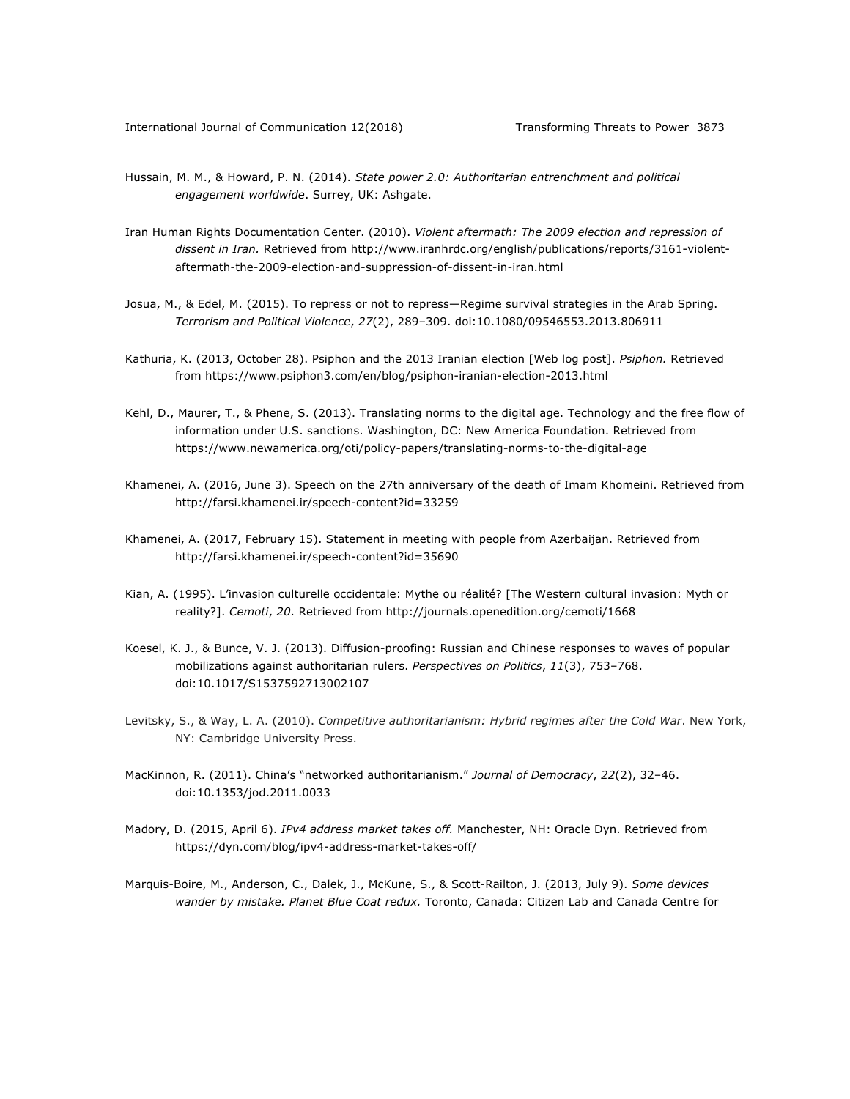- Hussain, M. M., & Howard, P. N. (2014). *State power 2.0: Authoritarian entrenchment and political engagement worldwide*. Surrey, UK: Ashgate.
- Iran Human Rights Documentation Center. (2010). *Violent aftermath: The 2009 election and repression of dissent in Iran.* Retrieved from http://www.iranhrdc.org/english/publications/reports/3161-violentaftermath-the-2009-election-and-suppression-of-dissent-in-iran.html
- Josua, M., & Edel, M. (2015). To repress or not to repress—Regime survival strategies in the Arab Spring. *Terrorism and Political Violence*, *27*(2), 289–309. doi:10.1080/09546553.2013.806911
- Kathuria, K. (2013, October 28). Psiphon and the 2013 Iranian election [Web log post]. *Psiphon.* Retrieved from https://www.psiphon3.com/en/blog/psiphon-iranian-election-2013.html
- Kehl, D., Maurer, T., & Phene, S. (2013). Translating norms to the digital age. Technology and the free flow of information under U.S. sanctions. Washington, DC: New America Foundation. Retrieved from https://www.newamerica.org/oti/policy-papers/translating-norms-to-the-digital-age
- Khamenei, A. (2016, June 3). Speech on the 27th anniversary of the death of Imam Khomeini. Retrieved from http://farsi.khamenei.ir/speech-content?id=33259
- Khamenei, A. (2017, February 15). Statement in meeting with people from Azerbaijan. Retrieved from http://farsi.khamenei.ir/speech-content?id=35690
- Kian, A. (1995). L'invasion culturelle occidentale: Mythe ou réalité? [The Western cultural invasion: Myth or reality?]. *Cemoti*, *20*. Retrieved from http://journals.openedition.org/cemoti/1668
- Koesel, K. J., & Bunce, V. J. (2013). Diffusion-proofing: Russian and Chinese responses to waves of popular mobilizations against authoritarian rulers. *Perspectives on Politics*, *11*(3), 753–768. doi:10.1017/S1537592713002107
- Levitsky, S., & Way, L. A. (2010). *Competitive authoritarianism: Hybrid regimes after the Cold War*. New York, NY: Cambridge University Press.
- MacKinnon, R. (2011). China's "networked authoritarianism." *Journal of Democracy*, *22*(2), 32–46. doi:10.1353/jod.2011.0033
- Madory, D. (2015, April 6). *IPv4 address market takes off.* Manchester, NH: Oracle Dyn. Retrieved from https://dyn.com/blog/ipv4-address-market-takes-off/
- Marquis-Boire, M., Anderson, C., Dalek, J., McKune, S., & Scott-Railton, J. (2013, July 9). *Some devices wander by mistake. Planet Blue Coat redux.* Toronto, Canada: Citizen Lab and Canada Centre for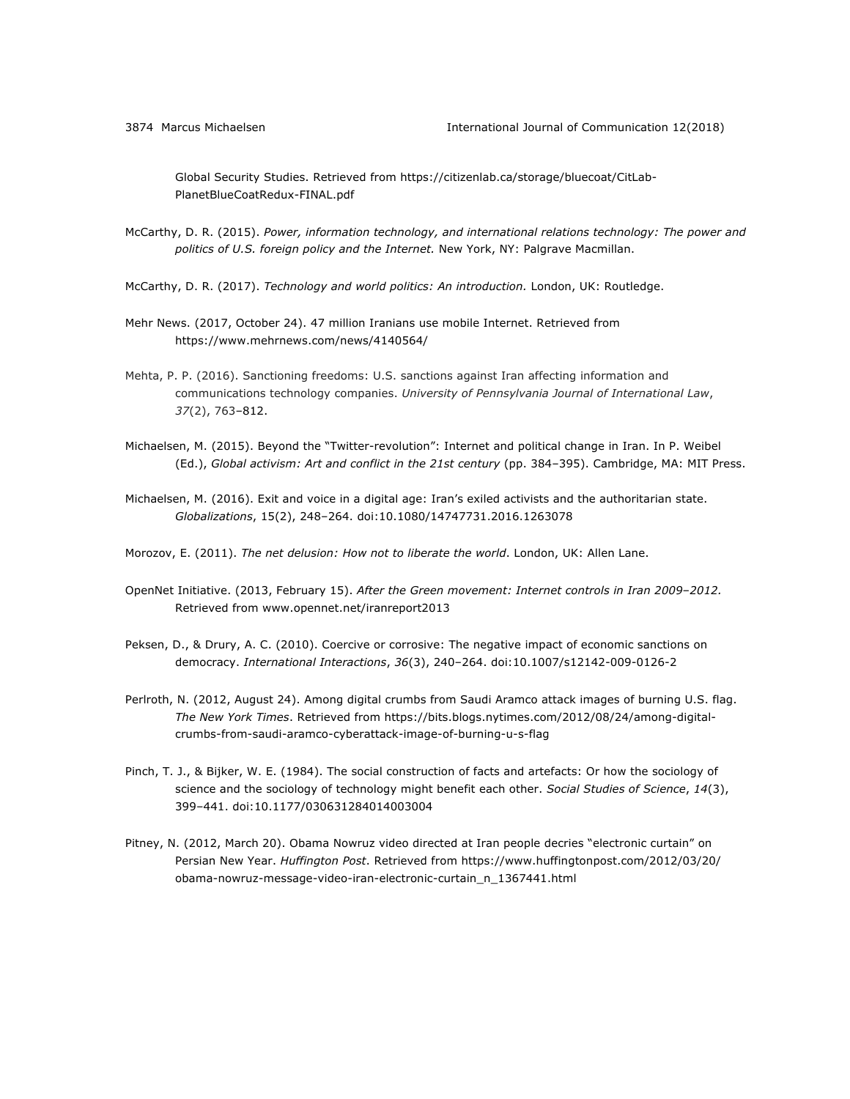Global Security Studies. Retrieved from https://citizenlab.ca/storage/bluecoat/CitLab-PlanetBlueCoatRedux-FINAL.pdf

- McCarthy, D. R. (2015). *Power, information technology, and international relations technology: The power and politics of U.S. foreign policy and the Internet.* New York, NY: Palgrave Macmillan.
- McCarthy, D. R. (2017). *Technology and world politics: An introduction.* London, UK: Routledge.
- Mehr News. (2017, October 24). 47 million Iranians use mobile Internet. Retrieved from https://www.mehrnews.com/news/4140564/
- Mehta, P. P. (2016). Sanctioning freedoms: U.S. sanctions against Iran affecting information and communications technology companies. *University of Pennsylvania Journal of International Law*, *37*(2), 763–812.
- Michaelsen, M. (2015). Beyond the "Twitter-revolution": Internet and political change in Iran. In P. Weibel (Ed.), *Global activism: Art and conflict in the 21st century* (pp. 384–395). Cambridge, MA: MIT Press.
- Michaelsen, M. (2016). Exit and voice in a digital age: Iran's exiled activists and the authoritarian state. *Globalizations*, 15(2), 248–264. doi:10.1080/14747731.2016.1263078
- Morozov, E. (2011). *The net delusion: How not to liberate the world*. London, UK: Allen Lane.
- OpenNet Initiative. (2013, February 15). *After the Green movement: Internet controls in Iran 2009*–*2012.* Retrieved from www.opennet.net/iranreport2013
- Peksen, D., & Drury, A. C. (2010). Coercive or corrosive: The negative impact of economic sanctions on democracy. *International Interactions*, *36*(3), 240–264. doi:10.1007/s12142-009-0126-2
- Perlroth, N. (2012, August 24). Among digital crumbs from Saudi Aramco attack images of burning U.S. flag. *The New York Times*. Retrieved from https://bits.blogs.nytimes.com/2012/08/24/among-digitalcrumbs-from-saudi-aramco-cyberattack-image-of-burning-u-s-flag
- Pinch, T. J., & Bijker, W. E. (1984). The social construction of facts and artefacts: Or how the sociology of science and the sociology of technology might benefit each other. *Social Studies of Science*, *14*(3), 399–441. doi:10.1177/030631284014003004
- Pitney, N. (2012, March 20). Obama Nowruz video directed at Iran people decries "electronic curtain" on Persian New Year. *Huffington Post*. Retrieved from https://www.huffingtonpost.com/2012/03/20/ obama-nowruz-message-video-iran-electronic-curtain\_n\_1367441.html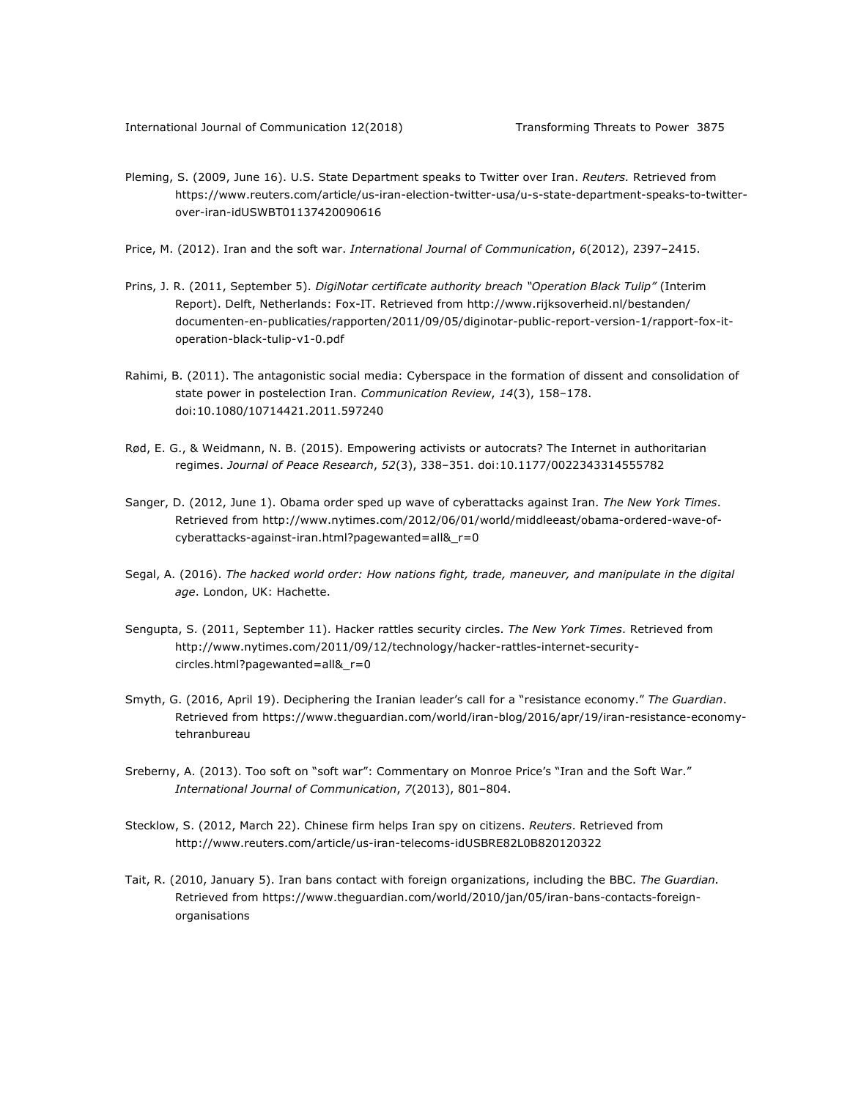- Pleming, S. (2009, June 16). U.S. State Department speaks to Twitter over Iran. *Reuters.* Retrieved from https://www.reuters.com/article/us-iran-election-twitter-usa/u-s-state-department-speaks-to-twitterover-iran-idUSWBT01137420090616
- Price, M. (2012). Iran and the soft war. *International Journal of Communication*, *6*(2012), 2397–2415.
- Prins, J. R. (2011, September 5). *DigiNotar certificate authority breach "Operation Black Tulip"* (Interim Report). Delft, Netherlands: Fox-IT. Retrieved from http://www.rijksoverheid.nl/bestanden/ documenten-en-publicaties/rapporten/2011/09/05/diginotar-public-report-version-1/rapport-fox-itoperation-black-tulip-v1-0.pdf
- Rahimi, B. (2011). The antagonistic social media: Cyberspace in the formation of dissent and consolidation of state power in postelection Iran. *Communication Review*, *14*(3), 158–178. doi:10.1080/10714421.2011.597240
- Rød, E. G., & Weidmann, N. B. (2015). Empowering activists or autocrats? The Internet in authoritarian regimes. *Journal of Peace Research*, *52*(3), 338–351. doi:10.1177/0022343314555782
- Sanger, D. (2012, June 1). Obama order sped up wave of cyberattacks against Iran. *The New York Times*. Retrieved from http://www.nytimes.com/2012/06/01/world/middleeast/obama-ordered-wave-ofcyberattacks-against-iran.html?pagewanted=all&\_r=0
- Segal, A. (2016). *The hacked world order: How nations fight, trade, maneuver, and manipulate in the digital age*. London, UK: Hachette.
- Sengupta, S. (2011, September 11). Hacker rattles security circles. *The New York Times*. Retrieved from http://www.nytimes.com/2011/09/12/technology/hacker-rattles-internet-securitycircles.html?pagewanted=all&\_r=0
- Smyth, G. (2016, April 19). Deciphering the Iranian leader's call for a "resistance economy." *The Guardian*. Retrieved from https://www.theguardian.com/world/iran-blog/2016/apr/19/iran-resistance-economytehranbureau
- Sreberny, A. (2013). Too soft on "soft war": Commentary on Monroe Price's "Iran and the Soft War." *International Journal of Communication*, *7*(2013), 801–804.
- Stecklow, S. (2012, March 22). Chinese firm helps Iran spy on citizens. *Reuters*. Retrieved from http://www.reuters.com/article/us-iran-telecoms-idUSBRE82L0B820120322
- Tait, R. (2010, January 5). Iran bans contact with foreign organizations, including the BBC. *The Guardian.* Retrieved from https://www.theguardian.com/world/2010/jan/05/iran-bans-contacts-foreignorganisations